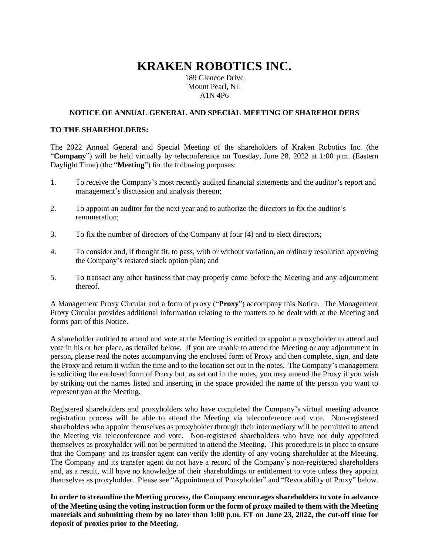# **KRAKEN ROBOTICS INC.**

189 Glencoe Drive Mount Pearl, NL A1N 4P6

#### **NOTICE OF ANNUAL GENERAL AND SPECIAL MEETING OF SHAREHOLDERS**

#### **TO THE SHAREHOLDERS:**

The 2022 Annual General and Special Meeting of the shareholders of Kraken Robotics Inc. (the "**Company**") will be held virtually by teleconference on Tuesday, June 28, 2022 at 1:00 p.m. (Eastern Daylight Time) (the "**Meeting**") for the following purposes:

- 1. To receive the Company's most recently audited financial statements and the auditor's report and management's discussion and analysis thereon;
- 2. To appoint an auditor for the next year and to authorize the directors to fix the auditor's remuneration;
- 3. To fix the number of directors of the Company at four (4) and to elect directors;
- 4. To consider and, if thought fit, to pass, with or without variation, an ordinary resolution approving the Company's restated stock option plan; and
- 5. To transact any other business that may properly come before the Meeting and any adjournment thereof.

A Management Proxy Circular and a form of proxy ("**Proxy**") accompany this Notice. The Management Proxy Circular provides additional information relating to the matters to be dealt with at the Meeting and forms part of this Notice.

A shareholder entitled to attend and vote at the Meeting is entitled to appoint a proxyholder to attend and vote in his or her place, as detailed below. If you are unable to attend the Meeting or any adjournment in person, please read the notes accompanying the enclosed form of Proxy and then complete, sign, and date the Proxy and return it within the time and to the location set out in the notes. The Company's management is soliciting the enclosed form of Proxy but, as set out in the notes, you may amend the Proxy if you wish by striking out the names listed and inserting in the space provided the name of the person you want to represent you at the Meeting.

Registered shareholders and proxyholders who have completed the Company's virtual meeting advance registration process will be able to attend the Meeting via teleconference and vote. Non-registered shareholders who appoint themselves as proxyholder through their intermediary will be permitted to attend the Meeting via teleconference and vote. Non-registered shareholders who have not duly appointed themselves as proxyholder will not be permitted to attend the Meeting. This procedure is in place to ensure that the Company and its transfer agent can verify the identity of any voting shareholder at the Meeting. The Company and its transfer agent do not have a record of the Company's non-registered shareholders and, as a result, will have no knowledge of their shareholdings or entitlement to vote unless they appoint themselves as proxyholder. Please see "Appointment of Proxyholder" and "Revocability of Proxy" below.

**In order to streamline the Meeting process, the Company encourages shareholders to vote in advance of the Meeting using the voting instruction form or the form of proxy mailed to them with the Meeting materials and submitting them by no later than 1:00 p.m. ET on June 23, 2022, the cut-off time for deposit of proxies prior to the Meeting.**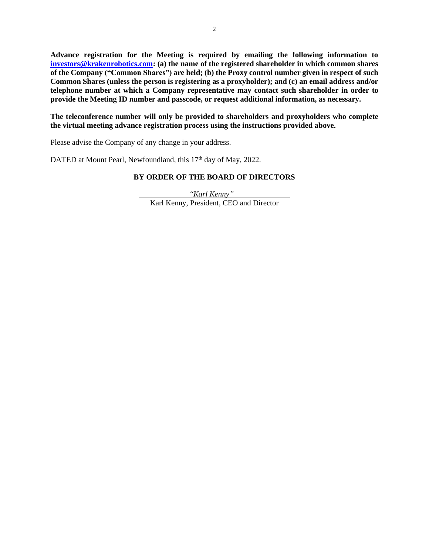**Advance registration for the Meeting is required by emailing the following information to [investors@krakenrobotics.com:](mailto:investors@krakenrobotics.com) (a) the name of the registered shareholder in which common shares of the Company ("Common Shares") are held; (b) the Proxy control number given in respect of such Common Shares (unless the person is registering as a proxyholder); and (c) an email address and/or telephone number at which a Company representative may contact such shareholder in order to provide the Meeting ID number and passcode, or request additional information, as necessary.** 

**The teleconference number will only be provided to shareholders and proxyholders who complete the virtual meeting advance registration process using the instructions provided above.**

Please advise the Company of any change in your address.

DATED at Mount Pearl, Newfoundland, this 17<sup>th</sup> day of May, 2022.

### **BY ORDER OF THE BOARD OF DIRECTORS**

*"Karl Kenny"* Karl Kenny, President, CEO and Director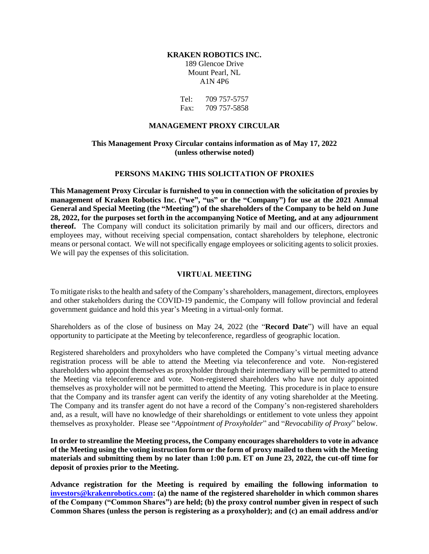#### **KRAKEN ROBOTICS INC.** 189 Glencoe Drive

Mount Pearl, NL A1N 4P6

Tel: 709 757-5757 Fax: 709 757-5858

#### **MANAGEMENT PROXY CIRCULAR**

### **This Management Proxy Circular contains information as of May 17, 2022 (unless otherwise noted)**

#### **PERSONS MAKING THIS SOLICITATION OF PROXIES**

**This Management Proxy Circular is furnished to you in connection with the solicitation of proxies by management of Kraken Robotics Inc. ("we", "us" or the "Company") for use at the 2021 Annual General and Special Meeting (the "Meeting") of the shareholders of the Company to be held on June 28, 2022, for the purposes set forth in the accompanying Notice of Meeting, and at any adjournment thereof.** The Company will conduct its solicitation primarily by mail and our officers, directors and employees may, without receiving special compensation, contact shareholders by telephone, electronic means or personal contact. We will not specifically engage employees or soliciting agents to solicit proxies. We will pay the expenses of this solicitation.

### **VIRTUAL MEETING**

To mitigate risks to the health and safety of the Company's shareholders, management, directors, employees and other stakeholders during the COVID-19 pandemic, the Company will follow provincial and federal government guidance and hold this year's Meeting in a virtual-only format.

Shareholders as of the close of business on May 24, 2022 (the "**Record Date**") will have an equal opportunity to participate at the Meeting by teleconference, regardless of geographic location.

Registered shareholders and proxyholders who have completed the Company's virtual meeting advance registration process will be able to attend the Meeting via teleconference and vote. Non-registered shareholders who appoint themselves as proxyholder through their intermediary will be permitted to attend the Meeting via teleconference and vote. Non-registered shareholders who have not duly appointed themselves as proxyholder will not be permitted to attend the Meeting. This procedure is in place to ensure that the Company and its transfer agent can verify the identity of any voting shareholder at the Meeting. The Company and its transfer agent do not have a record of the Company's non-registered shareholders and, as a result, will have no knowledge of their shareholdings or entitlement to vote unless they appoint themselves as proxyholder. Please see "*Appointment of Proxyholder*" and "*Revocability of Proxy*" below.

**In order to streamline the Meeting process, the Company encourages shareholders to vote in advance of the Meeting using the voting instruction form or the form of proxy mailed to them with the Meeting materials and submitting them by no later than 1:00 p.m. ET on June 23, 2022, the cut-off time for deposit of proxies prior to the Meeting.**

**Advance registration for the Meeting is required by emailing the following information to [investors@krakenrobotics.com:](mailto:investors@krakenrobotics.com) (a) the name of the registered shareholder in which common shares of the Company ("Common Shares") are held; (b) the proxy control number given in respect of such Common Shares (unless the person is registering as a proxyholder); and (c) an email address and/or**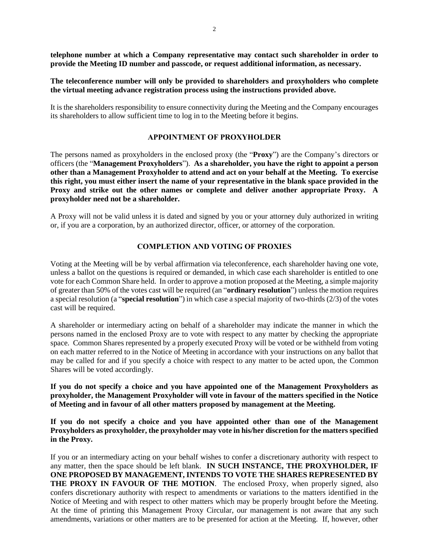**telephone number at which a Company representative may contact such shareholder in order to provide the Meeting ID number and passcode, or request additional information, as necessary.** 

#### **The teleconference number will only be provided to shareholders and proxyholders who complete the virtual meeting advance registration process using the instructions provided above.**

It is the shareholders responsibility to ensure connectivity during the Meeting and the Company encourages its shareholders to allow sufficient time to log in to the Meeting before it begins.

#### **APPOINTMENT OF PROXYHOLDER**

The persons named as proxyholders in the enclosed proxy (the "**Proxy**") are the Company's directors or officers (the "**Management Proxyholders**"). **As a shareholder, you have the right to appoint a person other than a Management Proxyholder to attend and act on your behalf at the Meeting. To exercise this right, you must either insert the name of your representative in the blank space provided in the Proxy and strike out the other names or complete and deliver another appropriate Proxy. A proxyholder need not be a shareholder.**

A Proxy will not be valid unless it is dated and signed by you or your attorney duly authorized in writing or, if you are a corporation, by an authorized director, officer, or attorney of the corporation.

#### **COMPLETION AND VOTING OF PROXIES**

Voting at the Meeting will be by verbal affirmation via teleconference, each shareholder having one vote, unless a ballot on the questions is required or demanded, in which case each shareholder is entitled to one vote for each Common Share held. In order to approve a motion proposed at the Meeting, a simple majority of greater than 50% of the votes cast will be required (an "**ordinary resolution**") unless the motion requires a special resolution (a "**special resolution**") in which case a special majority of two-thirds (2/3) of the votes cast will be required.

A shareholder or intermediary acting on behalf of a shareholder may indicate the manner in which the persons named in the enclosed Proxy are to vote with respect to any matter by checking the appropriate space. Common Shares represented by a properly executed Proxy will be voted or be withheld from voting on each matter referred to in the Notice of Meeting in accordance with your instructions on any ballot that may be called for and if you specify a choice with respect to any matter to be acted upon, the Common Shares will be voted accordingly.

**If you do not specify a choice and you have appointed one of the Management Proxyholders as proxyholder, the Management Proxyholder will vote in favour of the matters specified in the Notice of Meeting and in favour of all other matters proposed by management at the Meeting.**

**If you do not specify a choice and you have appointed other than one of the Management Proxyholders as proxyholder, the proxyholder may vote in his/her discretion for the matters specified in the Proxy.**

If you or an intermediary acting on your behalf wishes to confer a discretionary authority with respect to any matter, then the space should be left blank. **IN SUCH INSTANCE, THE PROXYHOLDER, IF ONE PROPOSED BY MANAGEMENT, INTENDS TO VOTE THE SHARES REPRESENTED BY THE PROXY IN FAVOUR OF THE MOTION**. The enclosed Proxy, when properly signed, also confers discretionary authority with respect to amendments or variations to the matters identified in the Notice of Meeting and with respect to other matters which may be properly brought before the Meeting. At the time of printing this Management Proxy Circular, our management is not aware that any such amendments, variations or other matters are to be presented for action at the Meeting. If, however, other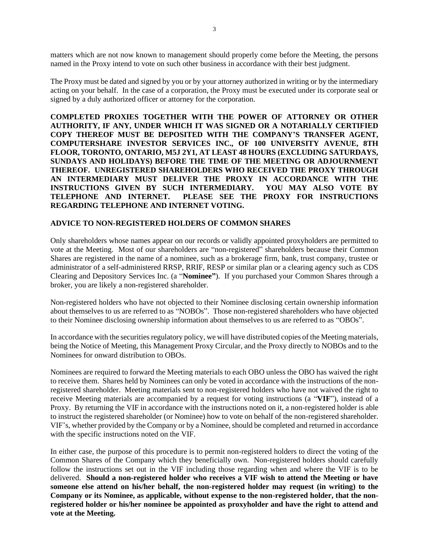matters which are not now known to management should properly come before the Meeting, the persons named in the Proxy intend to vote on such other business in accordance with their best judgment.

The Proxy must be dated and signed by you or by your attorney authorized in writing or by the intermediary acting on your behalf. In the case of a corporation, the Proxy must be executed under its corporate seal or signed by a duly authorized officer or attorney for the corporation.

**COMPLETED PROXIES TOGETHER WITH THE POWER OF ATTORNEY OR OTHER AUTHORITY, IF ANY, UNDER WHICH IT WAS SIGNED OR A NOTARIALLY CERTIFIED COPY THEREOF MUST BE DEPOSITED WITH THE COMPANY'S TRANSFER AGENT, COMPUTERSHARE INVESTOR SERVICES INC., OF 100 UNIVERSITY AVENUE, 8TH FLOOR, TORONTO, ONTARIO, M5J 2Y1, AT LEAST 48 HOURS (EXCLUDING SATURDAYS, SUNDAYS AND HOLIDAYS) BEFORE THE TIME OF THE MEETING OR ADJOURNMENT THEREOF. UNREGISTERED SHAREHOLDERS WHO RECEIVED THE PROXY THROUGH AN INTERMEDIARY MUST DELIVER THE PROXY IN ACCORDANCE WITH THE INSTRUCTIONS GIVEN BY SUCH INTERMEDIARY. YOU MAY ALSO VOTE BY TELEPHONE AND INTERNET. PLEASE SEE THE PROXY FOR INSTRUCTIONS REGARDING TELEPHONE AND INTERNET VOTING.** 

#### **ADVICE TO NON-REGISTERED HOLDERS OF COMMON SHARES**

Only shareholders whose names appear on our records or validly appointed proxyholders are permitted to vote at the Meeting. Most of our shareholders are "non-registered" shareholders because their Common Shares are registered in the name of a nominee, such as a brokerage firm, bank, trust company, trustee or administrator of a self-administered RRSP, RRIF, RESP or similar plan or a clearing agency such as CDS Clearing and Depository Services Inc. (a "**Nominee"**). If you purchased your Common Shares through a broker, you are likely a non-registered shareholder.

Non-registered holders who have not objected to their Nominee disclosing certain ownership information about themselves to us are referred to as "NOBOs". Those non-registered shareholders who have objected to their Nominee disclosing ownership information about themselves to us are referred to as "OBOs".

In accordance with the securities regulatory policy, we will have distributed copies of the Meeting materials, being the Notice of Meeting, this Management Proxy Circular, and the Proxy directly to NOBOs and to the Nominees for onward distribution to OBOs.

Nominees are required to forward the Meeting materials to each OBO unless the OBO has waived the right to receive them. Shares held by Nominees can only be voted in accordance with the instructions of the nonregistered shareholder. Meeting materials sent to non-registered holders who have not waived the right to receive Meeting materials are accompanied by a request for voting instructions (a "**VIF**"), instead of a Proxy. By returning the VIF in accordance with the instructions noted on it, a non-registered holder is able to instruct the registered shareholder (or Nominee) how to vote on behalf of the non-registered shareholder. VIF's, whether provided by the Company or by a Nominee, should be completed and returned in accordance with the specific instructions noted on the VIF.

In either case, the purpose of this procedure is to permit non-registered holders to direct the voting of the Common Shares of the Company which they beneficially own. Non-registered holders should carefully follow the instructions set out in the VIF including those regarding when and where the VIF is to be delivered. **Should a non-registered holder who receives a VIF wish to attend the Meeting or have someone else attend on his/her behalf, the non-registered holder may request (in writing) to the Company or its Nominee, as applicable, without expense to the non-registered holder, that the nonregistered holder or his/her nominee be appointed as proxyholder and have the right to attend and vote at the Meeting.**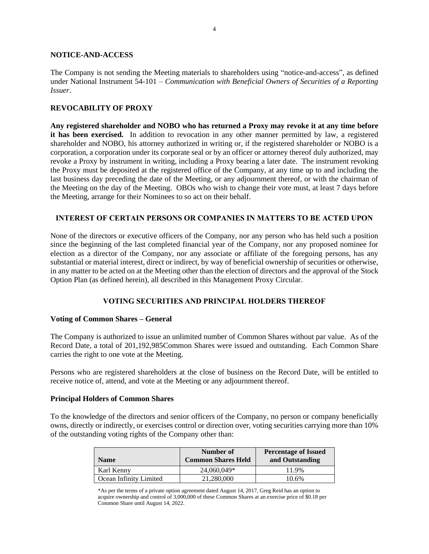#### **NOTICE-AND-ACCESS**

The Company is not sending the Meeting materials to shareholders using "notice-and-access", as defined under National Instrument 54-101 – *Communication with Beneficial Owners of Securities of a Reporting Issuer*.

#### **REVOCABILITY OF PROXY**

**Any registered shareholder and NOBO who has returned a Proxy may revoke it at any time before**  it has been exercised. In addition to revocation in any other manner permitted by law, a registered shareholder and NOBO, his attorney authorized in writing or, if the registered shareholder or NOBO is a corporation, a corporation under its corporate seal or by an officer or attorney thereof duly authorized, may revoke a Proxy by instrument in writing, including a Proxy bearing a later date. The instrument revoking the Proxy must be deposited at the registered office of the Company, at any time up to and including the last business day preceding the date of the Meeting, or any adjournment thereof, or with the chairman of the Meeting on the day of the Meeting. OBOs who wish to change their vote must, at least 7 days before the Meeting, arrange for their Nominees to so act on their behalf.

#### **INTEREST OF CERTAIN PERSONS OR COMPANIES IN MATTERS TO BE ACTED UPON**

None of the directors or executive officers of the Company, nor any person who has held such a position since the beginning of the last completed financial year of the Company, nor any proposed nominee for election as a director of the Company, nor any associate or affiliate of the foregoing persons, has any substantial or material interest, direct or indirect, by way of beneficial ownership of securities or otherwise, in any matter to be acted on at the Meeting other than the election of directors and the approval of the Stock Option Plan (as defined herein), all described in this Management Proxy Circular.

### **VOTING SECURITIES AND PRINCIPAL HOLDERS THEREOF**

#### **Voting of Common Shares – General**

The Company is authorized to issue an unlimited number of Common Shares without par value. As of the Record Date, a total of 201,192,985Common Shares were issued and outstanding. Each Common Share carries the right to one vote at the Meeting.

Persons who are registered shareholders at the close of business on the Record Date, will be entitled to receive notice of, attend, and vote at the Meeting or any adjournment thereof.

#### **Principal Holders of Common Shares**

To the knowledge of the directors and senior officers of the Company, no person or company beneficially owns, directly or indirectly, or exercises control or direction over, voting securities carrying more than 10% of the outstanding voting rights of the Company other than:

| <b>Name</b>            | Number of<br><b>Common Shares Held</b> | <b>Percentage of Issued</b><br>and Outstanding |
|------------------------|----------------------------------------|------------------------------------------------|
| Karl Kenny             | 24,060,049*                            | 11.9%                                          |
| Ocean Infinity Limited | 21,280,000                             | 10.6%                                          |

\*As per the terms of a private option agreement dated August 14, 2017, Greg Reid has an option to acquire ownership and control of 3,000,000 of these Common Shares at an exercise price of \$0.18 per Common Share until August 14, 2022.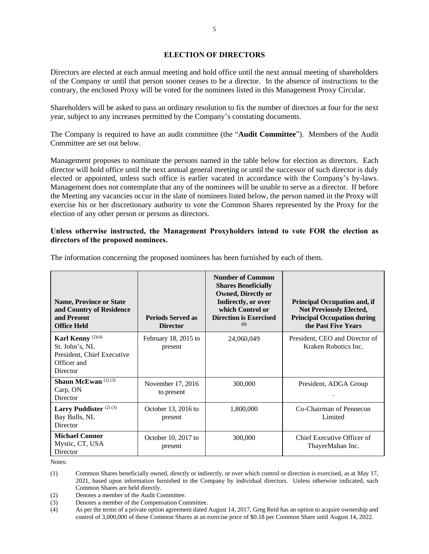### **ELECTION OF DIRECTORS**

Directors are elected at each annual meeting and hold office until the next annual meeting of shareholders of the Company or until that person sooner ceases to be a director. In the absence of instructions to the contrary, the enclosed Proxy will be voted for the nominees listed in this Management Proxy Circular.

Shareholders will be asked to pass an ordinary resolution to fix the number of directors at four for the next year, subject to any increases permitted by the Company's constating documents.

The Company is required to have an audit committee (the "**Audit Committee**"). Members of the Audit Committee are set out below.

Management proposes to nominate the persons named in the table below for election as directors. Each director will hold office until the next annual general meeting or until the successor of such director is duly elected or appointed, unless such office is earlier vacated in accordance with the Company's by-laws. Management does not contemplate that any of the nominees will be unable to serve as a director. If before the Meeting any vacancies occur in the slate of nominees listed below, the person named in the Proxy will exercise his or her discretionary authority to vote the Common Shares represented by the Proxy for the election of any other person or persons as directors.

### **Unless otherwise instructed, the Management Proxyholders intend to vote FOR the election as directors of the proposed nominees.**

| <b>Name, Province or State</b><br>and Country of Residence<br>and Present<br><b>Office Held</b>         | <b>Periods Served as</b><br><b>Director</b> | <b>Number of Common</b><br><b>Shares Beneficially</b><br><b>Owned, Directly or</b><br>Indirectly, or over<br>which Control or<br><b>Direction is Exercised</b><br>(1) | <b>Principal Occupation and, if</b><br><b>Not Previously Elected,</b><br><b>Principal Occupation during</b><br>the Past Five Years |
|---------------------------------------------------------------------------------------------------------|---------------------------------------------|-----------------------------------------------------------------------------------------------------------------------------------------------------------------------|------------------------------------------------------------------------------------------------------------------------------------|
| Karl Kenny <sup>(2)(4)</sup><br>St. John's, NL<br>President, Chief Executive<br>Officer and<br>Director | February 18, 2015 to<br>present             | 24,060,049                                                                                                                                                            | President, CEO and Director of<br>Kraken Robotics Inc.                                                                             |
| Shaun McEwan <sup>(2)(3)</sup><br>Carp, ON<br>Director                                                  | November 17, 2016<br>to present             | 300,000                                                                                                                                                               | President, ADGA Group                                                                                                              |
| Larry Puddister <sup>(2)(3)</sup><br>Bay Bulls, NL<br>Director                                          | October 13, 2016 to<br>present              | 1,800,000                                                                                                                                                             | Co-Chairman of Pennecon<br>Limited                                                                                                 |
| <b>Michael Connor</b><br>Mystic, CT, USA<br>Director                                                    | October 10, 2017 to<br>present              | 300,000                                                                                                                                                               | Chief Executive Officer of<br>ThayerMahan Inc.                                                                                     |

The information concerning the proposed nominees has been furnished by each of them.

Notes:

(1) Common Shares beneficially owned, directly or indirectly, or over which control or direction is exercised, as at May 17, 2021, based upon information furnished to the Company by individual directors. Unless otherwise indicated, such Common Shares are held directly.

- (2) Denotes a member of the Audit Committee.
- (3) Denotes a member of the Compensation Committee.
- (4) As per the terms of a private option agreement dated August 14, 2017, Greg Reid has an option to acquire ownership and control of 3,000,000 of these Common Shares at an exercise price of \$0.18 per Common Share until August 14, 2022.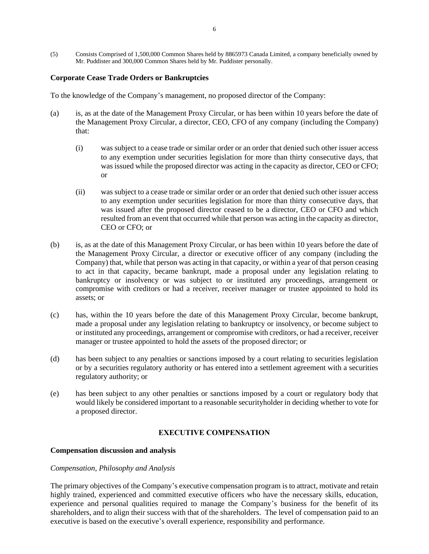(5) Consists Comprised of 1,500,000 Common Shares held by 8865973 Canada Limited, a company beneficially owned by Mr. Puddister and 300,000 Common Shares held by Mr. Puddister personally.

#### **Corporate Cease Trade Orders or Bankruptcies**

To the knowledge of the Company's management, no proposed director of the Company:

- (a) is, as at the date of the Management Proxy Circular, or has been within 10 years before the date of the Management Proxy Circular, a director, CEO, CFO of any company (including the Company) that:
	- (i) was subject to a cease trade or similar order or an order that denied such other issuer access to any exemption under securities legislation for more than thirty consecutive days, that was issued while the proposed director was acting in the capacity as director, CEO or CFO; or
	- (ii) was subject to a cease trade or similar order or an order that denied such other issuer access to any exemption under securities legislation for more than thirty consecutive days, that was issued after the proposed director ceased to be a director, CEO or CFO and which resulted from an event that occurred while that person was acting in the capacity as director, CEO or CFO; or
- (b) is, as at the date of this Management Proxy Circular, or has been within 10 years before the date of the Management Proxy Circular, a director or executive officer of any company (including the Company) that, while that person was acting in that capacity, or within a year of that person ceasing to act in that capacity, became bankrupt, made a proposal under any legislation relating to bankruptcy or insolvency or was subject to or instituted any proceedings, arrangement or compromise with creditors or had a receiver, receiver manager or trustee appointed to hold its assets; or
- (c) has, within the 10 years before the date of this Management Proxy Circular, become bankrupt, made a proposal under any legislation relating to bankruptcy or insolvency, or become subject to or instituted any proceedings, arrangement or compromise with creditors, or had a receiver, receiver manager or trustee appointed to hold the assets of the proposed director; or
- (d) has been subject to any penalties or sanctions imposed by a court relating to securities legislation or by a securities regulatory authority or has entered into a settlement agreement with a securities regulatory authority; or
- (e) has been subject to any other penalties or sanctions imposed by a court or regulatory body that would likely be considered important to a reasonable securityholder in deciding whether to vote for a proposed director.

### **EXECUTIVE COMPENSATION**

#### **Compensation discussion and analysis**

#### *Compensation, Philosophy and Analysis*

The primary objectives of the Company's executive compensation program is to attract, motivate and retain highly trained, experienced and committed executive officers who have the necessary skills, education, experience and personal qualities required to manage the Company's business for the benefit of its shareholders, and to align their success with that of the shareholders. The level of compensation paid to an executive is based on the executive's overall experience, responsibility and performance.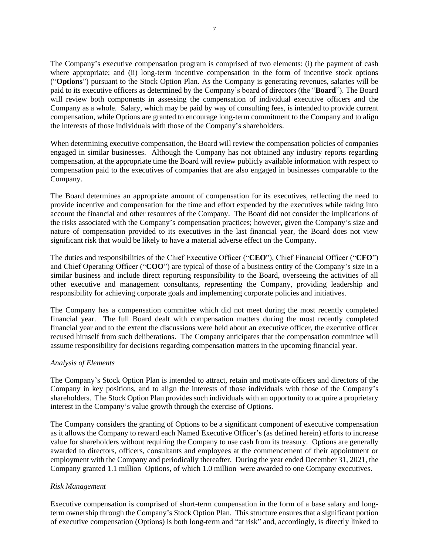The Company's executive compensation program is comprised of two elements: (i) the payment of cash where appropriate; and (ii) long-term incentive compensation in the form of incentive stock options ("**Options**") pursuant to the Stock Option Plan. As the Company is generating revenues, salaries will be paid to its executive officers as determined by the Company's board of directors (the "**Board**"). The Board will review both components in assessing the compensation of individual executive officers and the Company as a whole. Salary, which may be paid by way of consulting fees, is intended to provide current compensation, while Options are granted to encourage long-term commitment to the Company and to align the interests of those individuals with those of the Company's shareholders.

When determining executive compensation, the Board will review the compensation policies of companies engaged in similar businesses. Although the Company has not obtained any industry reports regarding compensation, at the appropriate time the Board will review publicly available information with respect to compensation paid to the executives of companies that are also engaged in businesses comparable to the Company.

The Board determines an appropriate amount of compensation for its executives, reflecting the need to provide incentive and compensation for the time and effort expended by the executives while taking into account the financial and other resources of the Company. The Board did not consider the implications of the risks associated with the Company's compensation practices; however, given the Company's size and nature of compensation provided to its executives in the last financial year, the Board does not view significant risk that would be likely to have a material adverse effect on the Company.

The duties and responsibilities of the Chief Executive Officer ("**CEO**"), Chief Financial Officer ("**CFO**") and Chief Operating Officer ("**COO**") are typical of those of a business entity of the Company's size in a similar business and include direct reporting responsibility to the Board, overseeing the activities of all other executive and management consultants, representing the Company, providing leadership and responsibility for achieving corporate goals and implementing corporate policies and initiatives.

The Company has a compensation committee which did not meet during the most recently completed financial year. The full Board dealt with compensation matters during the most recently completed financial year and to the extent the discussions were held about an executive officer, the executive officer recused himself from such deliberations. The Company anticipates that the compensation committee will assume responsibility for decisions regarding compensation matters in the upcoming financial year.

#### *Analysis of Elements*

The Company's Stock Option Plan is intended to attract, retain and motivate officers and directors of the Company in key positions, and to align the interests of those individuals with those of the Company's shareholders. The Stock Option Plan provides such individuals with an opportunity to acquire a proprietary interest in the Company's value growth through the exercise of Options.

The Company considers the granting of Options to be a significant component of executive compensation as it allows the Company to reward each Named Executive Officer's (as defined herein) efforts to increase value for shareholders without requiring the Company to use cash from its treasury. Options are generally awarded to directors, officers, consultants and employees at the commencement of their appointment or employment with the Company and periodically thereafter. During the year ended December 31, 2021, the Company granted 1.1 million Options, of which 1.0 million were awarded to one Company executives.

### *Risk Management*

Executive compensation is comprised of short-term compensation in the form of a base salary and longterm ownership through the Company's Stock Option Plan. This structure ensures that a significant portion of executive compensation (Options) is both long-term and "at risk" and, accordingly, is directly linked to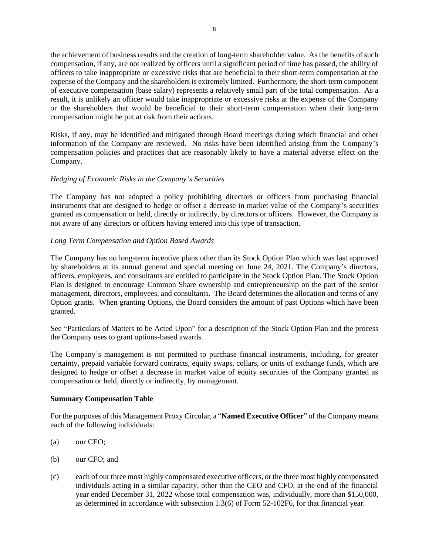the achievement of business results and the creation of long-term shareholder value. As the benefits of such compensation, if any, are not realized by officers until a significant period of time has passed, the ability of officers to take inappropriate or excessive risks that are beneficial to their short-term compensation at the expense of the Company and the shareholders is extremely limited. Furthermore, the short-term component of executive compensation (base salary) represents a relatively small part of the total compensation. As a result, it is unlikely an officer would take inappropriate or excessive risks at the expense of the Company or the shareholders that would be beneficial to their short-term compensation when their long-term compensation might be put at risk from their actions.

Risks, if any, may be identified and mitigated through Board meetings during which financial and other information of the Company are reviewed. No risks have been identified arising from the Company's compensation policies and practices that are reasonably likely to have a material adverse effect on the Company.

### *Hedging of Economic Risks in the Company's Securities*

The Company has not adopted a policy prohibiting directors or officers from purchasing financial instruments that are designed to hedge or offset a decrease in market value of the Company's securities granted as compensation or held, directly or indirectly, by directors or officers. However, the Company is not aware of any directors or officers having entered into this type of transaction.

### *Long Term Compensation and Option Based Awards*

The Company has no long-term incentive plans other than its Stock Option Plan which was last approved by shareholders at its annual general and special meeting on June 24, 2021. The Company's directors, officers, employees, and consultants are entitled to participate in the Stock Option Plan. The Stock Option Plan is designed to encourage Common Share ownership and entrepreneurship on the part of the senior management, directors, employees, and consultants. The Board determines the allocation and terms of any Option grants. When granting Options, the Board considers the amount of past Options which have been granted.

See "Particulars of Matters to be Acted Upon" for a description of the Stock Option Plan and the process the Company uses to grant options-based awards.

The Company's management is not permitted to purchase financial instruments, including, for greater certainty, prepaid variable forward contracts, equity swaps, collars, or units of exchange funds, which are designed to hedge or offset a decrease in market value of equity securities of the Company granted as compensation or held, directly or indirectly, by management.

### **Summary Compensation Table**

For the purposes of this Management Proxy Circular, a "**Named Executive Officer**" of the Company means each of the following individuals:

- (a) our CEO;
- (b) our CFO; and
- (c) each of our three most highly compensated executive officers, or the three most highly compensated individuals acting in a similar capacity, other than the CEO and CFO, at the end of the financial year ended December 31, 2022 whose total compensation was, individually, more than \$150,000, as determined in accordance with subsection 1.3(6) of Form 52-102F6, for that financial year.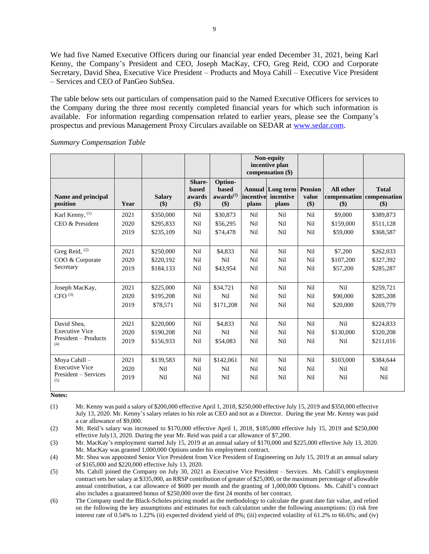We had five Named Executive Officers during our financial year ended December 31, 2021, being Karl Kenny, the Company's President and CEO, Joseph MacKay, CFO, Greg Reid, COO and Corporate Secretary, David Shea, Executive Vice President – Products and Moya Cahill – Executive Vice President – Services and CEO of PanGeo SubSea.

The table below sets out particulars of compensation paid to the Named Executive Officers for services to the Company during the three most recently completed financial years for which such information is available. For information regarding compensation related to earlier years, please see the Company's prospectus and previous Management Proxy Circulars available on SEDAR at [www.sedar.com.](http://www.sedar.com/)

|                                |      |                      |                                         |                                                         |                    | Non-equity<br>incentive plan<br>compensation (\$) |                                |                                               |                        |
|--------------------------------|------|----------------------|-----------------------------------------|---------------------------------------------------------|--------------------|---------------------------------------------------|--------------------------------|-----------------------------------------------|------------------------|
| Name and principal<br>position | Year | <b>Salary</b><br>\$) | Share-<br><b>based</b><br>awards<br>\$) | Option-<br><b>based</b><br>awards <sup>(7)</sup><br>\$) | incentive<br>plans | <b>Annual Long term</b><br>incentive<br>plans     | <b>Pension</b><br>value<br>\$) | All other<br>compensation compensation<br>\$) | <b>Total</b><br>$(\$)$ |
| Karl Kenny, (1)                | 2021 | \$350,000            | Nil                                     | \$30,873                                                | Nil                | Nil                                               | Nil                            | \$9,000                                       | \$389,873              |
| CEO & President                | 2020 | \$295,833            | Nil                                     | \$56,295                                                | Nil                | Nil                                               | Nil                            | \$159,000                                     | \$511,128              |
|                                | 2019 | \$235,109            | Nil                                     | \$74,478                                                | Nil                | Nil                                               | Nil                            | \$59,000                                      | \$368,587              |
| Greg Reid, $(2)$               | 2021 | \$250,000            | Nil                                     | \$4,833                                                 | Nil                | Nil                                               | Nil                            | \$7,200                                       | \$262,033              |
| COO & Corporate                | 2020 | \$220,192            | Nil                                     | Nil                                                     | Nil                | Nil                                               | Nil                            | \$107,200                                     | \$327,392              |
| Secretary                      | 2019 | \$184,133            | Nil                                     | \$43,954                                                | Nil                | Nil                                               | Nil                            | \$57,200                                      | \$285,287              |
| Joseph MacKay,                 | 2021 | \$225,000            | Nil                                     | \$34,721                                                | Nil                | Nil                                               | Nil                            | Nil                                           | \$259,721              |
| CFO <sup>(3)</sup>             | 2020 | \$195,208            | Nil                                     | Nil                                                     | Nil                | Nil                                               | Nil                            | \$90,000                                      | \$285,208              |
|                                | 2019 | \$78,571             | Nil                                     | \$171,208                                               | Nil                | Nil                                               | Nil                            | \$20,000                                      | \$269,779              |
| David Shea,                    | 2021 | \$220,000            | Nil                                     | \$4,833                                                 | Nil                | Nil                                               | Nil                            | Nil                                           | \$224,833              |
| <b>Executive Vice</b>          | 2020 | \$190,208            | Nil                                     | Nil                                                     | Nil                | Nil                                               | Nil                            | \$130,000                                     | \$320,208              |
| President - Products<br>(4)    | 2019 | \$156,933            | Nil                                     | \$54,083                                                | Nil                | Nil                                               | Nil                            | Nil                                           | \$211,016              |
| Moya Cahill-                   | 2021 | \$139,583            | Nil                                     | \$142,061                                               | Nil                | Nil                                               | Nil                            | \$103,000                                     | \$384,644              |
| <b>Executive Vice</b>          | 2020 | Nil                  | Nil                                     | Nil                                                     | Nil                | Nil                                               | Nil                            | Nil                                           | Nil                    |
| President – Services<br>(5)    | 2019 | Nil                  | Nil                                     | Nil                                                     | Nil                | Nil                                               | Nil                            | Nil                                           | Nil                    |

*Summary Compensation Table*

**Notes:**

(1) Mr. Kenny was paid a salary of \$200,000 effective April 1, 2018, \$250,000 effective July 15, 2019 and \$350,000 effective July 13, 2020. Mr. Kenny's salary relates to his role as CEO and not as a Director. During the year Mr. Kenny was paid a car allowance of \$9,000.

(2) Mr. Reid's salary was increased to \$170,000 effective April 1, 2018, \$185,000 effective July 15, 2019 and \$250,000 effective July13, 2020. During the year Mr. Reid was paid a car allowance of \$7,200.

(3) Mr. MacKay's employment started July 15, 2019 at an annual salary of \$170,000 and \$225,000 effective July 13, 2020. Mr. MacKay was granted 1,000,000 Options under his employment contract.

(4) Mr. Shea was appointed Senior Vice President from Vice President of Engineering on July 15, 2019 at an annual salary of \$165,000 and \$220,000 effective July 13, 2020.

(5) Ms. Cahill joined the Company on July 30, 2021 as Executive Vice President – Services. Ms. Cahill's employment contract sets her salary at \$335,000, an RRSP contribution of greater of \$25,000, or the maximum percentage of allowable annual contribution, a car allowance of \$600 per month and the granting of 1,000,000 Options. Ms. Cahill's contract also includes a guaranteed bonus of \$250,000 over the first 24 months of her contract.

(6) The Company used the Black-Scholes pricing model as the methodology to calculate the grant date fair value, and relied on the following the key assumptions and estimates for each calculation under the following assumptions: (i) risk free interest rate of 0.54% to 1.22% (ii) expected dividend yield of 0%; (iii) expected volatility of 61.2% to 66.6%; and (iv)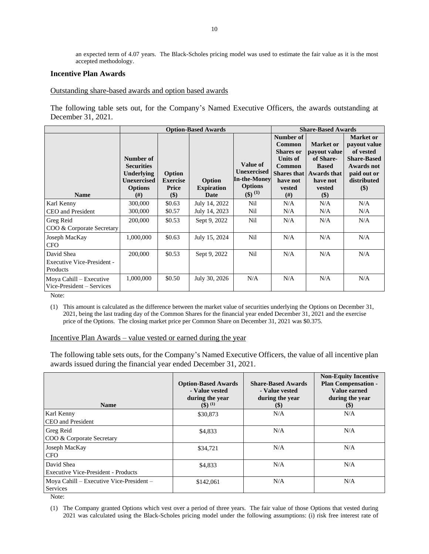an expected term of 4.07 years. The Black-Scholes pricing model was used to estimate the fair value as it is the most accepted methodology.

#### **Incentive Plan Awards**

#### Outstanding share-based awards and option based awards

The following table sets out, for the Company's Named Executive Officers, the awards outstanding at December 31, 2021.

|                                                             |                                                                                                  |                                           | <b>Option-Based Awards</b>          |                                                                                                 | <b>Share-Based Awards</b>                                                                                        |                                                                                                                                |                                                                                                                        |
|-------------------------------------------------------------|--------------------------------------------------------------------------------------------------|-------------------------------------------|-------------------------------------|-------------------------------------------------------------------------------------------------|------------------------------------------------------------------------------------------------------------------|--------------------------------------------------------------------------------------------------------------------------------|------------------------------------------------------------------------------------------------------------------------|
| <b>Name</b>                                                 | Number of<br><b>Securities</b><br><b>Underlying</b><br>Unexercised<br><b>Options</b><br>$^{(#)}$ | Option<br><b>Exercise</b><br>Price<br>\$) | Option<br><b>Expiration</b><br>Date | Value of<br><b>Unexercised</b><br><b>In-the-Money</b><br><b>Options</b><br>$(3)$ <sup>(1)</sup> | Number of<br><b>Common</b><br><b>Shares</b> or<br><b>Units of</b><br><b>Common</b><br>have not<br>vested<br>(# ) | <b>Market</b> or<br>payout value<br>of Share-<br><b>Based</b><br><b>Shares that   Awards that</b><br>have not<br>vested<br>\$) | <b>Market or</b><br>payout value<br>of vested<br><b>Share-Based</b><br>Awards not<br>paid out or<br>distributed<br>\$) |
| Karl Kenny                                                  | 300,000                                                                                          | \$0.63                                    | July 14, 2022                       | Nil                                                                                             | N/A                                                                                                              | N/A                                                                                                                            | N/A                                                                                                                    |
| <b>CEO</b> and President                                    | 300,000                                                                                          | \$0.57                                    | July 14, 2023                       | Nil                                                                                             | N/A                                                                                                              | N/A                                                                                                                            | N/A                                                                                                                    |
| Greg Reid<br>COO & Corporate Secretary                      | 200,000                                                                                          | \$0.53                                    | Sept 9, 2022                        | Nil                                                                                             | N/A                                                                                                              | N/A                                                                                                                            | N/A                                                                                                                    |
| Joseph MacKay<br><b>CFO</b>                                 | 1,000,000                                                                                        | \$0.63                                    | July 15, 2024                       | Nil                                                                                             | N/A                                                                                                              | N/A                                                                                                                            | N/A                                                                                                                    |
| David Shea<br><b>Executive Vice-President -</b><br>Products | 200,000                                                                                          | \$0.53                                    | Sept 9, 2022                        | Nil                                                                                             | N/A                                                                                                              | N/A                                                                                                                            | N/A                                                                                                                    |
| Moya Cahill – Executive<br>Vice-President – Services        | 1,000,000                                                                                        | \$0.50                                    | July 30, 2026                       | N/A                                                                                             | N/A                                                                                                              | N/A                                                                                                                            | N/A                                                                                                                    |

Note:

(1) This amount is calculated as the difference between the market value of securities underlying the Options on December 31, 2021, being the last trading day of the Common Shares for the financial year ended December 31, 2021 and the exercise price of the Options. The closing market price per Common Share on December 31, 2021 was \$0.375.

Incentive Plan Awards – value vested or earned during the year

The following table sets outs, for the Company's Named Executive Officers, the value of all incentive plan awards issued during the financial year ended December 31, 2021.

| <b>Name</b>                                | <b>Option-Based Awards</b><br>- Value vested<br>during the year<br>$($ \$) $^{(1)}$ | <b>Share-Based Awards</b><br>- Value vested<br>during the year<br>$(\$)$ | <b>Non-Equity Incentive</b><br><b>Plan Compensation -</b><br>Value earned<br>during the year<br>$(\$)$ |
|--------------------------------------------|-------------------------------------------------------------------------------------|--------------------------------------------------------------------------|--------------------------------------------------------------------------------------------------------|
| Karl Kenny                                 | \$30,873                                                                            | N/A                                                                      | N/A                                                                                                    |
| CEO and President                          |                                                                                     |                                                                          |                                                                                                        |
| Greg Reid                                  | \$4,833                                                                             | N/A                                                                      | N/A                                                                                                    |
| COO & Corporate Secretary                  |                                                                                     |                                                                          |                                                                                                        |
| Joseph MacKay                              | \$34,721                                                                            | N/A                                                                      | N/A                                                                                                    |
| <b>CFO</b>                                 |                                                                                     |                                                                          |                                                                                                        |
| David Shea                                 | \$4,833                                                                             | N/A                                                                      | N/A                                                                                                    |
| <b>Executive Vice-President - Products</b> |                                                                                     |                                                                          |                                                                                                        |
| Moya Cahill – Executive Vice-President –   | \$142,061                                                                           | N/A                                                                      | N/A                                                                                                    |
| Services                                   |                                                                                     |                                                                          |                                                                                                        |

Note:

(1) The Company granted Options which vest over a period of three years. The fair value of those Options that vested during 2021 was calculated using the Black-Scholes pricing model under the following assumptions: (i) risk free interest rate of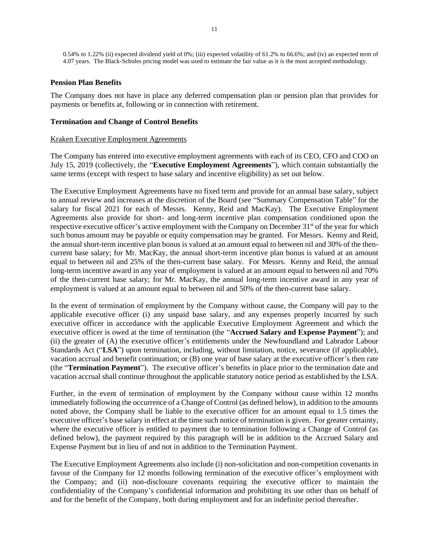0.54% to 1.22% (ii) expected dividend yield of 0%; (iii) expected volatility of 61.2% to 66.6%; and (iv) an expected term of 4.07 years. The Black-Scholes pricing model was used to estimate the fair value as it is the most accepted methodology.

### **Pension Plan Benefits**

The Company does not have in place any deferred compensation plan or pension plan that provides for payments or benefits at, following or in connection with retirement.

#### **Termination and Change of Control Benefits**

#### Kraken Executive Employment Agreements

The Company has entered into executive employment agreements with each of its CEO, CFO and COO on July 15, 2019 (collectively, the "**Executive Employment Agreements**"), which contain substantially the same terms (except with respect to base salary and incentive eligibility) as set out below.

The Executive Employment Agreements have no fixed term and provide for an annual base salary, subject to annual review and increases at the discretion of the Board (see "Summary Compensation Table" for the salary for fiscal 2021 for each of Messrs. Kenny, Reid and MacKay). The Executive Employment Agreements also provide for short- and long-term incentive plan compensation conditioned upon the respective executive officer's active employment with the Company on December 31<sup>st</sup> of the year for which such bonus amount may be payable or equity compensation may be granted. For Messrs. Kenny and Reid, the annual short-term incentive plan bonus is valued at an amount equal to between nil and 30% of the thencurrent base salary; for Mr. MacKay, the annual short-term incentive plan bonus is valued at an amount equal to between nil and 25% of the then-current base salary. For Messrs. Kenny and Reid, the annual long-term incentive award in any year of employment is valued at an amount equal to between nil and 70% of the then-current base salary; for Mr. MacKay, the annual long-term incentive award in any year of employment is valued at an amount equal to between nil and 50% of the then-current base salary.

In the event of termination of employment by the Company without cause, the Company will pay to the applicable executive officer (i) any unpaid base salary, and any expenses properly incurred by such executive officer in accordance with the applicable Executive Employment Agreement and which the executive officer is owed at the time of termination (the "**Accrued Salary and Expense Payment**"); and (ii) the greater of (A) the executive officer's entitlements under the Newfoundland and Labrador Labour Standards Act ("**LSA**") upon termination, including, without limitation, notice, severance (if applicable), vacation accrual and benefit continuation; or (B) one year of base salary at the executive officer's then rate (the "**Termination Payment**"). The executive officer's benefits in place prior to the termination date and vacation accrual shall continue throughout the applicable statutory notice period as established by the LSA.

Further, in the event of termination of employment by the Company without cause within 12 months immediately following the occurrence of a Change of Control (as defined below), in addition to the amounts noted above, the Company shall be liable to the executive officer for an amount equal to 1.5 times the executive officer's base salary in effect at the time such notice of termination is given. For greater certainty, where the executive officer is entitled to payment due to termination following a Change of Control (as defined below), the payment required by this paragraph will be in addition to the Accrued Salary and Expense Payment but in lieu of and not in addition to the Termination Payment.

The Executive Employment Agreements also include (i) non-solicitation and non-competition covenants in favour of the Company for 12 months following termination of the executive officer's employment with the Company; and (ii) non-disclosure covenants requiring the executive officer to maintain the confidentiality of the Company's confidential information and prohibiting its use other than on behalf of and for the benefit of the Company, both during employment and for an indefinite period thereafter.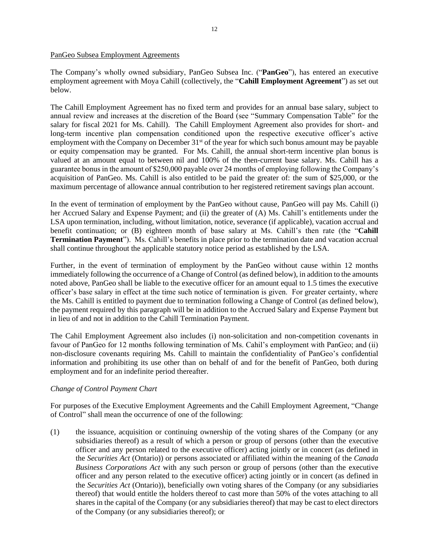#### PanGeo Subsea Employment Agreements

The Company's wholly owned subsidiary, PanGeo Subsea Inc. ("**PanGeo**"), has entered an executive employment agreement with Moya Cahill (collectively, the "**Cahill Employment Agreement**") as set out below.

The Cahill Employment Agreement has no fixed term and provides for an annual base salary, subject to annual review and increases at the discretion of the Board (see "Summary Compensation Table" for the salary for fiscal 2021 for Ms. Cahill). The Cahill Employment Agreement also provides for short- and long-term incentive plan compensation conditioned upon the respective executive officer's active employment with the Company on December  $31<sup>st</sup>$  of the year for which such bonus amount may be payable or equity compensation may be granted. For Ms. Cahill, the annual short-term incentive plan bonus is valued at an amount equal to between nil and 100% of the then-current base salary. Ms. Cahill has a guarantee bonus in the amount of \$250,000 payable over 24 months of employing following the Company's acquisition of PanGeo. Ms. Cahill is also entitled to be paid the greater of: the sum of \$25,000, or the maximum percentage of allowance annual contribution to her registered retirement savings plan account.

In the event of termination of employment by the PanGeo without cause, PanGeo will pay Ms. Cahill (i) her Accrued Salary and Expense Payment; and (ii) the greater of (A) Ms. Cahill's entitlements under the LSA upon termination, including, without limitation, notice, severance (if applicable), vacation accrual and benefit continuation; or (B) eighteen month of base salary at Ms. Cahill's then rate (the "**Cahill Termination Payment**"). Ms. Cahill's benefits in place prior to the termination date and vacation accrual shall continue throughout the applicable statutory notice period as established by the LSA.

Further, in the event of termination of employment by the PanGeo without cause within 12 months immediately following the occurrence of a Change of Control (as defined below), in addition to the amounts noted above, PanGeo shall be liable to the executive officer for an amount equal to 1.5 times the executive officer's base salary in effect at the time such notice of termination is given. For greater certainty, where the Ms. Cahill is entitled to payment due to termination following a Change of Control (as defined below), the payment required by this paragraph will be in addition to the Accrued Salary and Expense Payment but in lieu of and not in addition to the Cahill Termination Payment.

The Cahil Employment Agreement also includes (i) non-solicitation and non-competition covenants in favour of PanGeo for 12 months following termination of Ms. Cahil's employment with PanGeo; and (ii) non-disclosure covenants requiring Ms. Cahill to maintain the confidentiality of PanGeo's confidential information and prohibiting its use other than on behalf of and for the benefit of PanGeo, both during employment and for an indefinite period thereafter.

# *Change of Control Payment Chart*

For purposes of the Executive Employment Agreements and the Cahill Employment Agreement, "Change of Control" shall mean the occurrence of one of the following:

(1) the issuance, acquisition or continuing ownership of the voting shares of the Company (or any subsidiaries thereof) as a result of which a person or group of persons (other than the executive officer and any person related to the executive officer) acting jointly or in concert (as defined in the *Securities Act* (Ontario)) or persons associated or affiliated within the meaning of the *Canada Business Corporations Act* with any such person or group of persons (other than the executive officer and any person related to the executive officer) acting jointly or in concert (as defined in the *Securities Act* (Ontario)), beneficially own voting shares of the Company (or any subsidiaries thereof) that would entitle the holders thereof to cast more than 50% of the votes attaching to all shares in the capital of the Company (or any subsidiaries thereof) that may be cast to elect directors of the Company (or any subsidiaries thereof); or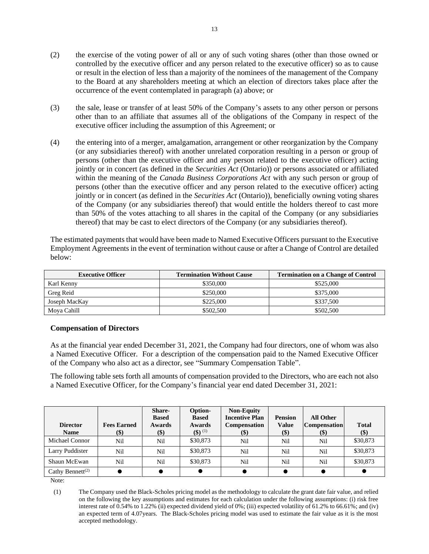- (2) the exercise of the voting power of all or any of such voting shares (other than those owned or controlled by the executive officer and any person related to the executive officer) so as to cause or result in the election of less than a majority of the nominees of the management of the Company to the Board at any shareholders meeting at which an election of directors takes place after the occurrence of the event contemplated in paragraph (a) above; or
- (3) the sale, lease or transfer of at least 50% of the Company's assets to any other person or persons other than to an affiliate that assumes all of the obligations of the Company in respect of the executive officer including the assumption of this Agreement; or
- (4) the entering into of a merger, amalgamation, arrangement or other reorganization by the Company (or any subsidiaries thereof) with another unrelated corporation resulting in a person or group of persons (other than the executive officer and any person related to the executive officer) acting jointly or in concert (as defined in the *Securities Act* (Ontario)) or persons associated or affiliated within the meaning of the *Canada Business Corporations Act* with any such person or group of persons (other than the executive officer and any person related to the executive officer) acting jointly or in concert (as defined in the *Securities Act* (Ontario)), beneficially owning voting shares of the Company (or any subsidiaries thereof) that would entitle the holders thereof to cast more than 50% of the votes attaching to all shares in the capital of the Company (or any subsidiaries thereof) that may be cast to elect directors of the Company (or any subsidiaries thereof).

The estimated payments that would have been made to Named Executive Officers pursuant to the Executive Employment Agreements in the event of termination without cause or after a Change of Control are detailed below:

| <b>Executive Officer</b> | <b>Termination Without Cause</b> | <b>Termination on a Change of Control</b> |
|--------------------------|----------------------------------|-------------------------------------------|
| Karl Kenny               | \$350,000                        | \$525,000                                 |
| Greg Reid                | \$250,000                        | \$375,000                                 |
| Joseph MacKay            | \$225,000                        | \$337,500                                 |
| Moya Cahill              | \$502,500                        | \$502,500                                 |

### **Compensation of Directors**

As at the financial year ended December 31, 2021, the Company had four directors, one of whom was also a Named Executive Officer. For a description of the compensation paid to the Named Executive Officer of the Company who also act as a director, see "Summary Compensation Table".

The following table sets forth all amounts of compensation provided to the Directors, who are each not also a Named Executive Officer, for the Company's financial year end dated December 31, 2021:

| <b>Director</b><br><b>Name</b> | <b>Fees Earned</b><br>$\left( \text{\$}\right)$ | <b>Share-</b><br><b>Based</b><br>Awards<br>\$) | Option-<br><b>Based</b><br>Awards<br>$($ \$) $^{(1)}$ | <b>Non-Equity</b><br><b>Incentive Plan</b><br><b>Compensation</b><br>$(\$)$ | <b>Pension</b><br><b>Value</b><br>$(\$)$ | <b>All Other</b><br><b>Compensation</b><br>(S) | <b>Total</b><br>$(\$)$ |
|--------------------------------|-------------------------------------------------|------------------------------------------------|-------------------------------------------------------|-----------------------------------------------------------------------------|------------------------------------------|------------------------------------------------|------------------------|
| Michael Connor                 | Nil                                             | Nil                                            | \$30,873                                              | Nil                                                                         | Nil                                      | Nil                                            | \$30,873               |
| Larry Puddister                | Nil                                             | Nil                                            | \$30,873                                              | Nil                                                                         | Nil                                      | Nil                                            | \$30,873               |
| Shaun McEwan                   | Nil                                             | Nil                                            | \$30,873                                              | Nil                                                                         | Nil                                      | Nil                                            | \$30,873               |
| Cathy Bennett <sup>(2)</sup>   |                                                 |                                                |                                                       |                                                                             |                                          |                                                |                        |

Note:

(1) The Company used the Black-Scholes pricing model as the methodology to calculate the grant date fair value, and relied on the following the key assumptions and estimates for each calculation under the following assumptions: (i) risk free interest rate of 0.54% to 1.22% (ii) expected dividend yield of 0%; (iii) expected volatility of 61.2% to 66.61%; and (iv) an expected term of 4.07years. The Black-Scholes pricing model was used to estimate the fair value as it is the most accepted methodology.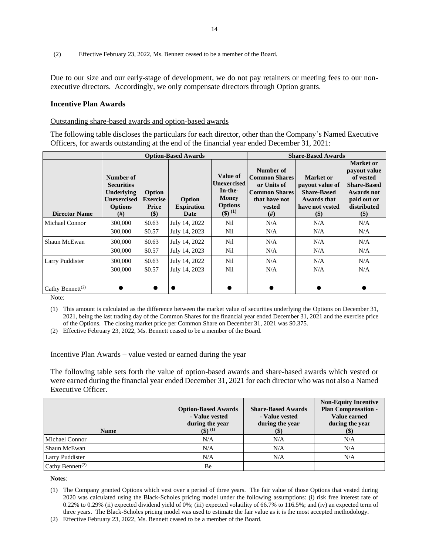(2) Effective February 23, 2022, Ms. Bennett ceased to be a member of the Board.

Due to our size and our early-stage of development, we do not pay retainers or meeting fees to our nonexecutive directors. Accordingly, we only compensate directors through Option grants.

#### **Incentive Plan Awards**

#### Outstanding share-based awards and option-based awards

The following table discloses the particulars for each director, other than the Company's Named Executive Officers, for awards outstanding at the end of the financial year ended December 31, 2021:

|                              | <b>Option-Based Awards</b>                                                                   |                                               |                                     |                                                                                              | <b>Share-Based Awards</b>                                                                                 |                                                                                                |                                                                                                                                  |
|------------------------------|----------------------------------------------------------------------------------------------|-----------------------------------------------|-------------------------------------|----------------------------------------------------------------------------------------------|-----------------------------------------------------------------------------------------------------------|------------------------------------------------------------------------------------------------|----------------------------------------------------------------------------------------------------------------------------------|
| <b>Director Name</b>         | Number of<br><b>Securities</b><br>Underlying<br><b>Unexercised</b><br><b>Options</b><br>(# ) | Option<br><b>Exercise</b><br>Price<br>$($ \$) | Option<br><b>Expiration</b><br>Date | Value of<br><b>Unexercised</b><br>In-the-<br>Money<br><b>Options</b><br>$(3)$ <sup>(1)</sup> | Number of<br><b>Common Shares</b><br>or Units of<br><b>Common Shares</b><br>that have not<br>vested<br>#) | Market or<br>payout value of<br><b>Share-Based</b><br>Awards that<br>have not vested<br>$(\$)$ | <b>Market or</b><br>payout value<br>of vested<br><b>Share-Based</b><br><b>Awards</b> not<br>paid out or<br>distributed<br>$(\$)$ |
| Michael Connor               | 300,000                                                                                      | \$0.63                                        | July 14, 2022                       | Nil                                                                                          | N/A                                                                                                       | N/A                                                                                            | N/A                                                                                                                              |
|                              | 300,000                                                                                      | \$0.57                                        | July 14, 2023                       | Nil                                                                                          | N/A                                                                                                       | N/A                                                                                            | N/A                                                                                                                              |
| Shaun McEwan                 | 300,000                                                                                      | \$0.63                                        | July 14, 2022                       | Nil                                                                                          | N/A                                                                                                       | N/A                                                                                            | N/A                                                                                                                              |
|                              | 300,000                                                                                      | \$0.57                                        | July 14, 2023                       | Nil                                                                                          | N/A                                                                                                       | N/A                                                                                            | N/A                                                                                                                              |
| Larry Puddister              | 300,000                                                                                      | \$0.63                                        | July 14, 2022                       | Nil                                                                                          | N/A                                                                                                       | N/A                                                                                            | N/A                                                                                                                              |
|                              | 300,000                                                                                      | \$0.57                                        | July 14, 2023                       | Nil                                                                                          | N/A                                                                                                       | N/A                                                                                            | N/A                                                                                                                              |
| Cathy Bennett <sup>(2)</sup> |                                                                                              | O                                             |                                     |                                                                                              |                                                                                                           |                                                                                                |                                                                                                                                  |

Note:

(1) This amount is calculated as the difference between the market value of securities underlying the Options on December 31, 2021, being the last trading day of the Common Shares for the financial year ended December 31, 2021 and the exercise price of the Options. The closing market price per Common Share on December 31, 2021 was \$0.375.

(2) Effective February 23, 2022, Ms. Bennett ceased to be a member of the Board.

#### Incentive Plan Awards – value vested or earned during the year

The following table sets forth the value of option-based awards and share-based awards which vested or were earned during the financial year ended December 31, 2021 for each director who was not also a Named Executive Officer.

| <b>Name</b>                  | <b>Option-Based Awards</b><br>- Value vested<br>during the year<br>$($ \$) $^{(1)}$ | <b>Share-Based Awards</b><br>- Value vested<br>during the year<br>\$) | <b>Non-Equity Incentive</b><br><b>Plan Compensation -</b><br>Value earned<br>during the year<br><b>(\$)</b> |
|------------------------------|-------------------------------------------------------------------------------------|-----------------------------------------------------------------------|-------------------------------------------------------------------------------------------------------------|
| Michael Connor               | N/A                                                                                 | N/A                                                                   | N/A                                                                                                         |
| Shaun McEwan                 | N/A                                                                                 | N/A                                                                   | N/A                                                                                                         |
| <b>Larry Puddister</b>       | N/A                                                                                 | N/A                                                                   | N/A                                                                                                         |
| Cathy Bennett <sup>(2)</sup> | Вe                                                                                  |                                                                       |                                                                                                             |

#### **Notes**:

<sup>(1)</sup> The Company granted Options which vest over a period of three years. The fair value of those Options that vested during 2020 was calculated using the Black-Scholes pricing model under the following assumptions: (i) risk free interest rate of 0.22% to 0.29% (ii) expected dividend yield of 0%; (iii) expected volatility of 66.7% to 116.5%; and (iv) an expected term of three years. The Black-Scholes pricing model was used to estimate the fair value as it is the most accepted methodology.

<sup>(2)</sup> Effective February 23, 2022, Ms. Bennett ceased to be a member of the Board.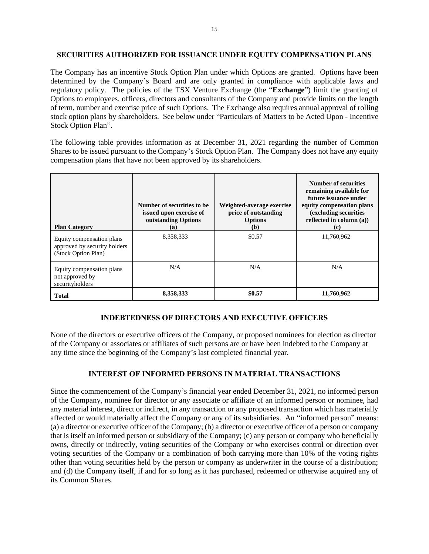#### **SECURITIES AUTHORIZED FOR ISSUANCE UNDER EQUITY COMPENSATION PLANS**

The Company has an incentive Stock Option Plan under which Options are granted. Options have been determined by the Company's Board and are only granted in compliance with applicable laws and regulatory policy. The policies of the TSX Venture Exchange (the "**Exchange**") limit the granting of Options to employees, officers, directors and consultants of the Company and provide limits on the length of term, number and exercise price of such Options. The Exchange also requires annual approval of rolling stock option plans by shareholders. See below under "Particulars of Matters to be Acted Upon - Incentive Stock Option Plan".

The following table provides information as at December 31, 2021 regarding the number of Common Shares to be issued pursuant to the Company's Stock Option Plan. The Company does not have any equity compensation plans that have not been approved by its shareholders.

| <b>Plan Category</b>                                                             | Number of securities to be<br>issued upon exercise of<br>outstanding Options<br>(a) | Weighted-average exercise<br>price of outstanding<br><b>Options</b><br>(b) | Number of securities<br>remaining available for<br>future issuance under<br>equity compensation plans<br>(excluding securities<br>reflected in column $(a)$ )<br>(c) |
|----------------------------------------------------------------------------------|-------------------------------------------------------------------------------------|----------------------------------------------------------------------------|----------------------------------------------------------------------------------------------------------------------------------------------------------------------|
| Equity compensation plans<br>approved by security holders<br>(Stock Option Plan) | 8,358,333                                                                           | \$0.57                                                                     | 11,760,962                                                                                                                                                           |
| Equity compensation plans<br>not approved by<br>securityholders                  | N/A                                                                                 | N/A                                                                        | N/A                                                                                                                                                                  |
| <b>Total</b>                                                                     | 8,358,333                                                                           | \$0.57                                                                     | 11,760,962                                                                                                                                                           |

### **INDEBTEDNESS OF DIRECTORS AND EXECUTIVE OFFICERS**

None of the directors or executive officers of the Company, or proposed nominees for election as director of the Company or associates or affiliates of such persons are or have been indebted to the Company at any time since the beginning of the Company's last completed financial year.

### **INTEREST OF INFORMED PERSONS IN MATERIAL TRANSACTIONS**

Since the commencement of the Company's financial year ended December 31, 2021, no informed person of the Company, nominee for director or any associate or affiliate of an informed person or nominee, had any material interest, direct or indirect, in any transaction or any proposed transaction which has materially affected or would materially affect the Company or any of its subsidiaries. An "informed person" means: (a) a director or executive officer of the Company; (b) a director or executive officer of a person or company that is itself an informed person or subsidiary of the Company; (c) any person or company who beneficially owns, directly or indirectly, voting securities of the Company or who exercises control or direction over voting securities of the Company or a combination of both carrying more than 10% of the voting rights other than voting securities held by the person or company as underwriter in the course of a distribution; and (d) the Company itself, if and for so long as it has purchased, redeemed or otherwise acquired any of its Common Shares.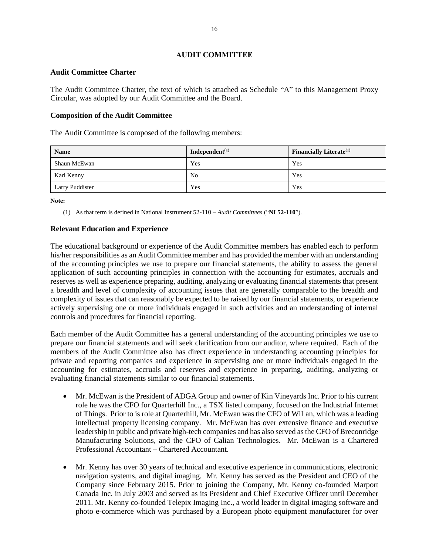### **AUDIT COMMITTEE**

#### **Audit Committee Charter**

The Audit Committee Charter, the text of which is attached as Schedule "A" to this Management Proxy Circular, was adopted by our Audit Committee and the Board.

### **Composition of the Audit Committee**

The Audit Committee is composed of the following members:

| <b>Name</b>     | Independent $^{(1)}$ | <b>Financially Literate</b> <sup>(1)</sup> |
|-----------------|----------------------|--------------------------------------------|
| Shaun McEwan    | Yes                  | Yes                                        |
| Karl Kenny      | N <sub>0</sub>       | Yes                                        |
| Larry Puddister | Yes                  | Yes                                        |

**Note:** 

(1) As that term is defined in National Instrument 52-110 – *Audit Committees* ("**NI 52-110**").

### **Relevant Education and Experience**

The educational background or experience of the Audit Committee members has enabled each to perform his/her responsibilities as an Audit Committee member and has provided the member with an understanding of the accounting principles we use to prepare our financial statements, the ability to assess the general application of such accounting principles in connection with the accounting for estimates, accruals and reserves as well as experience preparing, auditing, analyzing or evaluating financial statements that present a breadth and level of complexity of accounting issues that are generally comparable to the breadth and complexity of issues that can reasonably be expected to be raised by our financial statements, or experience actively supervising one or more individuals engaged in such activities and an understanding of internal controls and procedures for financial reporting.

Each member of the Audit Committee has a general understanding of the accounting principles we use to prepare our financial statements and will seek clarification from our auditor, where required. Each of the members of the Audit Committee also has direct experience in understanding accounting principles for private and reporting companies and experience in supervising one or more individuals engaged in the accounting for estimates, accruals and reserves and experience in preparing, auditing, analyzing or evaluating financial statements similar to our financial statements.

- Mr. McEwan is the President of ADGA Group and owner of Kin Vineyards Inc. Prior to his current role he was the CFO for Quarterhill Inc., a TSX listed company, focused on the Industrial Internet of Things. Prior to is role at Quarterhill, Mr. McEwan was the CFO of WiLan, which was a leading intellectual property licensing company. Mr. McEwan has over extensive finance and executive leadership in public and private high-tech companies and has also served as the CFO of Breconridge Manufacturing Solutions, and the CFO of Calian Technologies. Mr. McEwan is a Chartered Professional Accountant – Chartered Accountant.
- Mr. Kenny has over 30 years of technical and executive experience in communications, electronic navigation systems, and digital imaging. Mr. Kenny has served as the President and CEO of the Company since February 2015. Prior to joining the Company, Mr. Kenny co-founded Marport Canada Inc. in July 2003 and served as its President and Chief Executive Officer until December 2011. Mr. Kenny co-founded Telepix Imaging Inc., a world leader in digital imaging software and photo e-commerce which was purchased by a European photo equipment manufacturer for over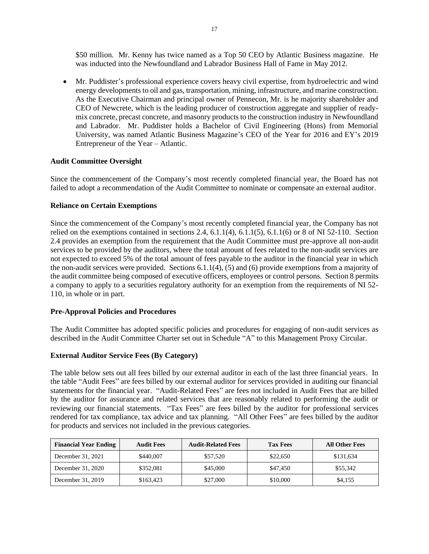\$50 million. Mr. Kenny has twice named as a Top 50 CEO by Atlantic Business magazine. He was inducted into the Newfoundland and Labrador Business Hall of Fame in May 2012.

• Mr. Puddister's professional experience covers heavy civil expertise, from hydroelectric and wind energy developments to oil and gas, transportation, mining, infrastructure, and marine construction. As the Executive Chairman and principal owner of Pennecon, Mr. is he majority shareholder and CEO of Newcrete, which is the leading producer of construction aggregate and supplier of readymix concrete, precast concrete, and masonry products to the construction industry in Newfoundland and Labrador. Mr. Puddister holds a Bachelor of Civil Engineering (Hons) from Memorial University, was named Atlantic Business Magazine's CEO of the Year for 2016 and EY's 2019 Entrepreneur of the Year – Atlantic.

### **Audit Committee Oversight**

Since the commencement of the Company's most recently completed financial year, the Board has not failed to adopt a recommendation of the Audit Committee to nominate or compensate an external auditor.

#### **Reliance on Certain Exemptions**

Since the commencement of the Company's most recently completed financial year, the Company has not relied on the exemptions contained in sections 2.4,  $6.1.1(4)$ ,  $6.1.1(5)$ ,  $6.1.1(6)$  or 8 of NI 52-110. Section 2.4 provides an exemption from the requirement that the Audit Committee must pre-approve all non-audit services to be provided by the auditors, where the total amount of fees related to the non-audit services are not expected to exceed 5% of the total amount of fees payable to the auditor in the financial year in which the non-audit services were provided. Sections  $6.1.1(4)$ ,  $(5)$  and  $(6)$  provide exemptions from a majority of the audit committee being composed of executive officers, employees or control persons. Section 8 permits a company to apply to a securities regulatory authority for an exemption from the requirements of NI 52- 110, in whole or in part.

### **Pre-Approval Policies and Procedures**

The Audit Committee has adopted specific policies and procedures for engaging of non-audit services as described in the Audit Committee Charter set out in Schedule "A" to this Management Proxy Circular.

#### **External Auditor Service Fees (By Category)**

The table below sets out all fees billed by our external auditor in each of the last three financial years. In the table "Audit Fees" are fees billed by our external auditor for services provided in auditing our financial statements for the financial year. "Audit-Related Fees" are fees not included in Audit Fees that are billed by the auditor for assurance and related services that are reasonably related to performing the audit or reviewing our financial statements. "Tax Fees" are fees billed by the auditor for professional services rendered for tax compliance, tax advice and tax planning. "All Other Fees" are fees billed by the auditor for products and services not included in the previous categories.

| <b>Financial Year Ending</b> | <b>Audit Fees</b> | <b>Audit-Related Fees</b> | <b>Tax Fees</b> | <b>All Other Fees</b> |
|------------------------------|-------------------|---------------------------|-----------------|-----------------------|
| December 31, 2021            | \$440,007         | \$57,520                  | \$22,650        | \$131,634             |
| December 31, 2020            | \$352,081         | \$45,000                  | \$47,450        | \$55,342              |
| December 31, 2019            | \$163,423         | \$27,000                  | \$10,000        | \$4.155               |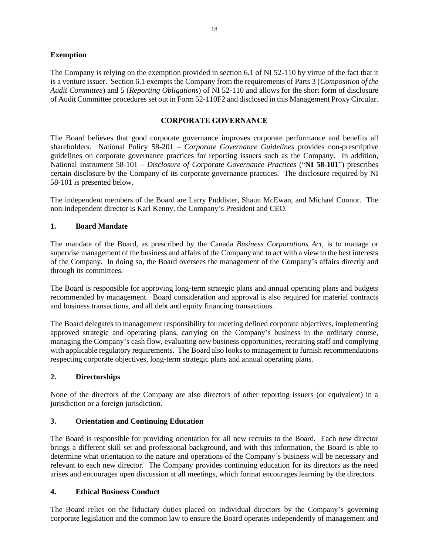### **Exemption**

The Company is relying on the exemption provided in section 6.1 of NI 52-110 by virtue of the fact that it is a venture issuer. Section 6.1 exempts the Company from the requirements of Parts 3 (*Composition of the Audit Committee*) and 5 (*Reporting Obligations*) of NI 52-110 and allows for the short form of disclosure of Audit Committee procedures set out in Form 52-110F2 and disclosed in this Management Proxy Circular.

### **CORPORATE GOVERNANCE**

The Board believes that good corporate governance improves corporate performance and benefits all shareholders. National Policy 58-201 – *Corporate Governance Guidelines* provides non-prescriptive guidelines on corporate governance practices for reporting issuers such as the Company. In addition, National Instrument 58-101 – *Disclosure of Corporate Governance Practices* ("**NI 58-101**") prescribes certain disclosure by the Company of its corporate governance practices. The disclosure required by NI 58-101 is presented below.

The independent members of the Board are Larry Puddister, Shaun McEwan, and Michael Connor. The non-independent director is Karl Kenny, the Company's President and CEO.

### **1. Board Mandate**

The mandate of the Board, as prescribed by the Canada *Business Corporations Act*, is to manage or supervise management of the business and affairs of the Company and to act with a view to the best interests of the Company. In doing so, the Board oversees the management of the Company's affairs directly and through its committees.

The Board is responsible for approving long-term strategic plans and annual operating plans and budgets recommended by management. Board consideration and approval is also required for material contracts and business transactions, and all debt and equity financing transactions.

The Board delegates to management responsibility for meeting defined corporate objectives, implementing approved strategic and operating plans, carrying on the Company's business in the ordinary course, managing the Company's cash flow, evaluating new business opportunities, recruiting staff and complying with applicable regulatory requirements. The Board also looks to management to furnish recommendations respecting corporate objectives, long-term strategic plans and annual operating plans.

### **2. Directorships**

None of the directors of the Company are also directors of other reporting issuers (or equivalent) in a jurisdiction or a foreign jurisdiction.

### **3. Orientation and Continuing Education**

The Board is responsible for providing orientation for all new recruits to the Board. Each new director brings a different skill set and professional background, and with this information, the Board is able to determine what orientation to the nature and operations of the Company's business will be necessary and relevant to each new director. The Company provides continuing education for its directors as the need arises and encourages open discussion at all meetings, which format encourages learning by the directors.

### **4. Ethical Business Conduct**

The Board relies on the fiduciary duties placed on individual directors by the Company's governing corporate legislation and the common law to ensure the Board operates independently of management and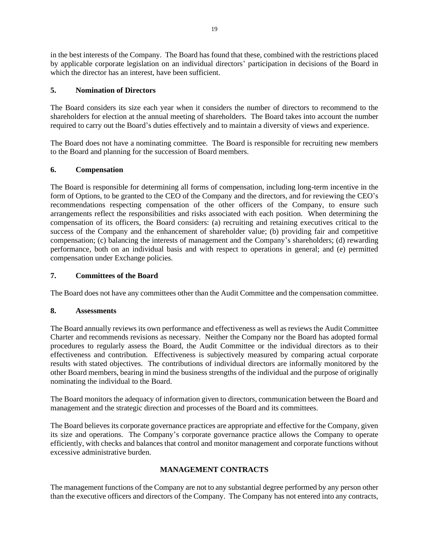in the best interests of the Company. The Board has found that these, combined with the restrictions placed by applicable corporate legislation on an individual directors' participation in decisions of the Board in which the director has an interest, have been sufficient.

# **5. Nomination of Directors**

The Board considers its size each year when it considers the number of directors to recommend to the shareholders for election at the annual meeting of shareholders. The Board takes into account the number required to carry out the Board's duties effectively and to maintain a diversity of views and experience.

The Board does not have a nominating committee. The Board is responsible for recruiting new members to the Board and planning for the succession of Board members.

### **6. Compensation**

The Board is responsible for determining all forms of compensation, including long-term incentive in the form of Options, to be granted to the CEO of the Company and the directors, and for reviewing the CEO's recommendations respecting compensation of the other officers of the Company, to ensure such arrangements reflect the responsibilities and risks associated with each position. When determining the compensation of its officers, the Board considers: (a) recruiting and retaining executives critical to the success of the Company and the enhancement of shareholder value; (b) providing fair and competitive compensation; (c) balancing the interests of management and the Company's shareholders; (d) rewarding performance, both on an individual basis and with respect to operations in general; and (e) permitted compensation under Exchange policies.

### **7. Committees of the Board**

The Board does not have any committees other than the Audit Committee and the compensation committee.

### **8. Assessments**

The Board annually reviews its own performance and effectiveness as well as reviews the Audit Committee Charter and recommends revisions as necessary. Neither the Company nor the Board has adopted formal procedures to regularly assess the Board, the Audit Committee or the individual directors as to their effectiveness and contribution. Effectiveness is subjectively measured by comparing actual corporate results with stated objectives. The contributions of individual directors are informally monitored by the other Board members, bearing in mind the business strengths of the individual and the purpose of originally nominating the individual to the Board.

The Board monitors the adequacy of information given to directors, communication between the Board and management and the strategic direction and processes of the Board and its committees.

The Board believes its corporate governance practices are appropriate and effective for the Company, given its size and operations. The Company's corporate governance practice allows the Company to operate efficiently, with checks and balances that control and monitor management and corporate functions without excessive administrative burden.

# **MANAGEMENT CONTRACTS**

The management functions of the Company are not to any substantial degree performed by any person other than the executive officers and directors of the Company. The Company has not entered into any contracts,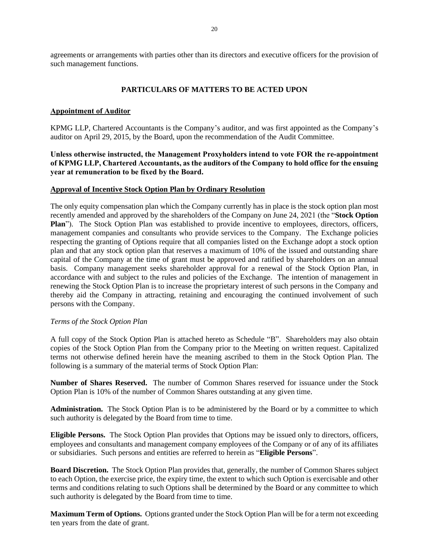agreements or arrangements with parties other than its directors and executive officers for the provision of such management functions.

### **PARTICULARS OF MATTERS TO BE ACTED UPON**

#### **Appointment of Auditor**

KPMG LLP, Chartered Accountants is the Company's auditor, and was first appointed as the Company's auditor on April 29, 2015, by the Board, upon the recommendation of the Audit Committee.

**Unless otherwise instructed, the Management Proxyholders intend to vote FOR the re-appointment of KPMG LLP, Chartered Accountants, as the auditors of the Company to hold office for the ensuing year at remuneration to be fixed by the Board.**

#### **Approval of Incentive Stock Option Plan by Ordinary Resolution**

The only equity compensation plan which the Company currently has in place is the stock option plan most recently amended and approved by the shareholders of the Company on June 24, 2021 (the "**Stock Option Plan**"). The Stock Option Plan was established to provide incentive to employees, directors, officers, management companies and consultants who provide services to the Company. The Exchange policies respecting the granting of Options require that all companies listed on the Exchange adopt a stock option plan and that any stock option plan that reserves a maximum of 10% of the issued and outstanding share capital of the Company at the time of grant must be approved and ratified by shareholders on an annual basis. Company management seeks shareholder approval for a renewal of the Stock Option Plan, in accordance with and subject to the rules and policies of the Exchange. The intention of management in renewing the Stock Option Plan is to increase the proprietary interest of such persons in the Company and thereby aid the Company in attracting, retaining and encouraging the continued involvement of such persons with the Company.

#### *Terms of the Stock Option Plan*

A full copy of the Stock Option Plan is attached hereto as Schedule "B". Shareholders may also obtain copies of the Stock Option Plan from the Company prior to the Meeting on written request. Capitalized terms not otherwise defined herein have the meaning ascribed to them in the Stock Option Plan. The following is a summary of the material terms of Stock Option Plan:

**Number of Shares Reserved.** The number of Common Shares reserved for issuance under the Stock Option Plan is 10% of the number of Common Shares outstanding at any given time.

**Administration.** The Stock Option Plan is to be administered by the Board or by a committee to which such authority is delegated by the Board from time to time.

**Eligible Persons.** The Stock Option Plan provides that Options may be issued only to directors, officers, employees and consultants and management company employees of the Company or of any of its affiliates or subsidiaries. Such persons and entities are referred to herein as "**Eligible Persons**".

**Board Discretion.** The Stock Option Plan provides that, generally, the number of Common Shares subject to each Option, the exercise price, the expiry time, the extent to which such Option is exercisable and other terms and conditions relating to such Options shall be determined by the Board or any committee to which such authority is delegated by the Board from time to time.

**Maximum Term of Options.** Options granted under the Stock Option Plan will be for a term not exceeding ten years from the date of grant.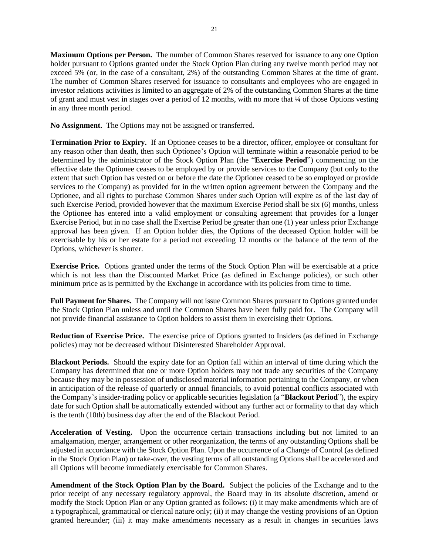**Maximum Options per Person.** The number of Common Shares reserved for issuance to any one Option holder pursuant to Options granted under the Stock Option Plan during any twelve month period may not exceed 5% (or, in the case of a consultant, 2%) of the outstanding Common Shares at the time of grant. The number of Common Shares reserved for issuance to consultants and employees who are engaged in investor relations activities is limited to an aggregate of 2% of the outstanding Common Shares at the time of grant and must vest in stages over a period of 12 months, with no more that ¼ of those Options vesting in any three month period.

**No Assignment.** The Options may not be assigned or transferred.

**Termination Prior to Expiry.** If an Optionee ceases to be a director, officer, employee or consultant for any reason other than death, then such Optionee's Option will terminate within a reasonable period to be determined by the administrator of the Stock Option Plan (the "**Exercise Period**") commencing on the effective date the Optionee ceases to be employed by or provide services to the Company (but only to the extent that such Option has vested on or before the date the Optionee ceased to be so employed or provide services to the Company) as provided for in the written option agreement between the Company and the Optionee, and all rights to purchase Common Shares under such Option will expire as of the last day of such Exercise Period, provided however that the maximum Exercise Period shall be six (6) months, unless the Optionee has entered into a valid employment or consulting agreement that provides for a longer Exercise Period, but in no case shall the Exercise Period be greater than one (1) year unless prior Exchange approval has been given. If an Option holder dies, the Options of the deceased Option holder will be exercisable by his or her estate for a period not exceeding 12 months or the balance of the term of the Options, whichever is shorter.

**Exercise Price.** Options granted under the terms of the Stock Option Plan will be exercisable at a price which is not less than the Discounted Market Price (as defined in Exchange policies), or such other minimum price as is permitted by the Exchange in accordance with its policies from time to time.

**Full Payment for Shares.** The Company will not issue Common Shares pursuant to Options granted under the Stock Option Plan unless and until the Common Shares have been fully paid for. The Company will not provide financial assistance to Option holders to assist them in exercising their Options.

**Reduction of Exercise Price.** The exercise price of Options granted to Insiders (as defined in Exchange policies) may not be decreased without Disinterested Shareholder Approval.

**Blackout Periods.** Should the expiry date for an Option fall within an interval of time during which the Company has determined that one or more Option holders may not trade any securities of the Company because they may be in possession of undisclosed material information pertaining to the Company, or when in anticipation of the release of quarterly or annual financials, to avoid potential conflicts associated with the Company's insider-trading policy or applicable securities legislation (a "**Blackout Period**"), the expiry date for such Option shall be automatically extended without any further act or formality to that day which is the tenth (10th) business day after the end of the Blackout Period.

**Acceleration of Vesting.** Upon the occurrence certain transactions including but not limited to an amalgamation, merger, arrangement or other reorganization, the terms of any outstanding Options shall be adjusted in accordance with the Stock Option Plan. Upon the occurrence of a Change of Control (as defined in the Stock Option Plan) or take-over, the vesting terms of all outstanding Options shall be accelerated and all Options will become immediately exercisable for Common Shares.

**Amendment of the Stock Option Plan by the Board.** Subject the policies of the Exchange and to the prior receipt of any necessary regulatory approval, the Board may in its absolute discretion, amend or modify the Stock Option Plan or any Option granted as follows: (i) it may make amendments which are of a typographical, grammatical or clerical nature only; (ii) it may change the vesting provisions of an Option granted hereunder; (iii) it may make amendments necessary as a result in changes in securities laws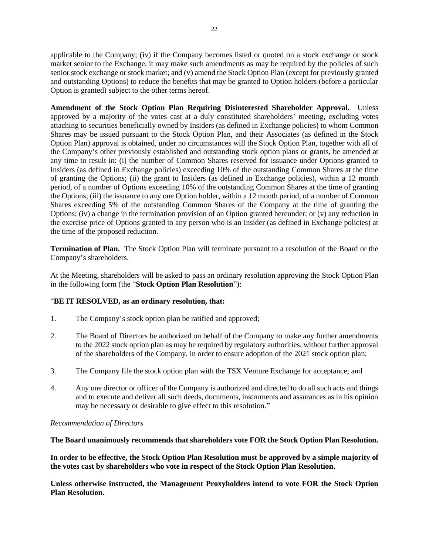applicable to the Company; (iv) if the Company becomes listed or quoted on a stock exchange or stock market senior to the Exchange, it may make such amendments as may be required by the policies of such senior stock exchange or stock market; and (v) amend the Stock Option Plan (except for previously granted and outstanding Options) to reduce the benefits that may be granted to Option holders (before a particular Option is granted) subject to the other terms hereof.

**Amendment of the Stock Option Plan Requiring Disinterested Shareholder Approval.** Unless approved by a majority of the votes cast at a duly constituted shareholders' meeting, excluding votes attaching to securities beneficially owned by Insiders (as defined in Exchange policies) to whom Common Shares may be issued pursuant to the Stock Option Plan, and their Associates (as defined in the Stock Option Plan) approval is obtained, under no circumstances will the Stock Option Plan, together with all of the Company's other previously established and outstanding stock option plans or grants, be amended at any time to result in: (i) the number of Common Shares reserved for issuance under Options granted to Insiders (as defined in Exchange policies) exceeding 10% of the outstanding Common Shares at the time of granting the Options; (ii) the grant to Insiders (as defined in Exchange policies), within a 12 month period, of a number of Options exceeding 10% of the outstanding Common Shares at the time of granting the Options; (iii) the issuance to any one Option holder, within a 12 month period, of a number of Common Shares exceeding 5% of the outstanding Common Shares of the Company at the time of granting the Options; (iv) a change in the termination provision of an Option granted hereunder; or (v) any reduction in the exercise price of Options granted to any person who is an Insider (as defined in Exchange policies) at the time of the proposed reduction.

**Termination of Plan.** The Stock Option Plan will terminate pursuant to a resolution of the Board or the Company's shareholders.

At the Meeting, shareholders will be asked to pass an ordinary resolution approving the Stock Option Plan in the following form (the "**Stock Option Plan Resolution**"):

### "**BE IT RESOLVED, as an ordinary resolution, that:**

- 1. The Company's stock option plan be ratified and approved;
- 2. The Board of Directors be authorized on behalf of the Company to make any further amendments to the 2022 stock option plan as may be required by regulatory authorities, without further approval of the shareholders of the Company, in order to ensure adoption of the 2021 stock option plan;
- 3. The Company file the stock option plan with the TSX Venture Exchange for acceptance; and
- 4. Any one director or officer of the Company is authorized and directed to do all such acts and things and to execute and deliver all such deeds, documents, instruments and assurances as in his opinion may be necessary or desirable to give effect to this resolution."

#### *Recommendation of Directors*

**The Board unanimously recommends that shareholders vote FOR the Stock Option Plan Resolution.**

**In order to be effective, the Stock Option Plan Resolution must be approved by a simple majority of the votes cast by shareholders who vote in respect of the Stock Option Plan Resolution.**

**Unless otherwise instructed, the Management Proxyholders intend to vote FOR the Stock Option Plan Resolution.**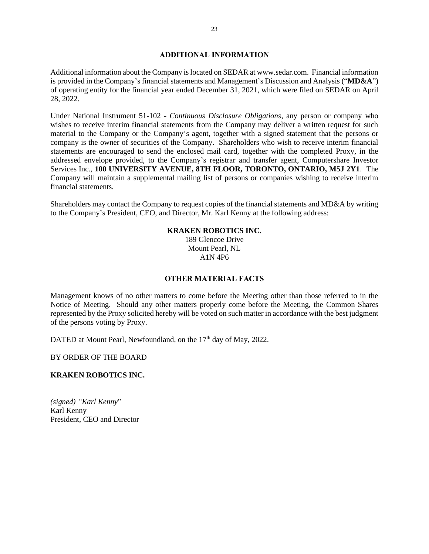#### **ADDITIONAL INFORMATION**

Additional information about the Company is located on SEDAR at www.sedar.com. Financial information is provided in the Company's financial statements and Management's Discussion and Analysis ("**MD&A**") of operating entity for the financial year ended December 31, 2021, which were filed on SEDAR on April 28, 2022.

Under National Instrument 51-102 - *Continuous Disclosure Obligations*, any person or company who wishes to receive interim financial statements from the Company may deliver a written request for such material to the Company or the Company's agent, together with a signed statement that the persons or company is the owner of securities of the Company. Shareholders who wish to receive interim financial statements are encouraged to send the enclosed mail card, together with the completed Proxy, in the addressed envelope provided, to the Company's registrar and transfer agent, Computershare Investor Services Inc., **100 UNIVERSITY AVENUE, 8TH FLOOR, TORONTO, ONTARIO, M5J 2Y1**. The Company will maintain a supplemental mailing list of persons or companies wishing to receive interim financial statements.

Shareholders may contact the Company to request copies of the financial statements and MD&A by writing to the Company's President, CEO, and Director, Mr. Karl Kenny at the following address:

### **KRAKEN ROBOTICS INC.**

189 Glencoe Drive Mount Pearl, NL A1N 4P6

### **OTHER MATERIAL FACTS**

Management knows of no other matters to come before the Meeting other than those referred to in the Notice of Meeting. Should any other matters properly come before the Meeting, the Common Shares represented by the Proxy solicited hereby will be voted on such matter in accordance with the best judgment of the persons voting by Proxy.

DATED at Mount Pearl, Newfoundland, on the 17<sup>th</sup> day of May, 2022.

BY ORDER OF THE BOARD

### **KRAKEN ROBOTICS INC.**

*(signed) "Karl Kenny*" Karl Kenny President, CEO and Director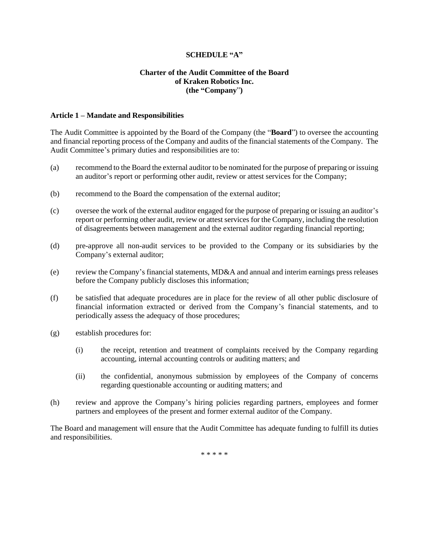#### **SCHEDULE "A"**

### **Charter of the Audit Committee of the Board of Kraken Robotics Inc. (the "Company**"**)**

#### **Article 1 – Mandate and Responsibilities**

The Audit Committee is appointed by the Board of the Company (the "**Board**") to oversee the accounting and financial reporting process of the Company and audits of the financial statements of the Company. The Audit Committee's primary duties and responsibilities are to:

- (a) recommend to the Board the external auditor to be nominated for the purpose of preparing or issuing an auditor's report or performing other audit, review or attest services for the Company;
- (b) recommend to the Board the compensation of the external auditor;
- (c) oversee the work of the external auditor engaged for the purpose of preparing or issuing an auditor's report or performing other audit, review or attest services for the Company, including the resolution of disagreements between management and the external auditor regarding financial reporting;
- (d) pre-approve all non-audit services to be provided to the Company or its subsidiaries by the Company's external auditor;
- (e) review the Company's financial statements, MD&A and annual and interim earnings press releases before the Company publicly discloses this information;
- (f) be satisfied that adequate procedures are in place for the review of all other public disclosure of financial information extracted or derived from the Company's financial statements, and to periodically assess the adequacy of those procedures;
- (g) establish procedures for:
	- (i) the receipt, retention and treatment of complaints received by the Company regarding accounting, internal accounting controls or auditing matters; and
	- (ii) the confidential, anonymous submission by employees of the Company of concerns regarding questionable accounting or auditing matters; and
- (h) review and approve the Company's hiring policies regarding partners, employees and former partners and employees of the present and former external auditor of the Company.

The Board and management will ensure that the Audit Committee has adequate funding to fulfill its duties and responsibilities.

\* \* \* \* \*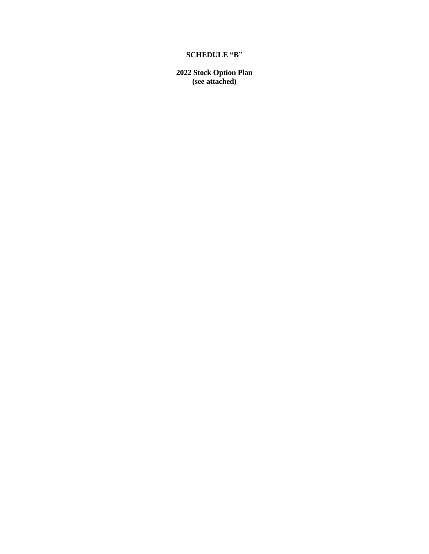# **SCHEDULE "B"**

**2022 Stock Option Plan (see attached)**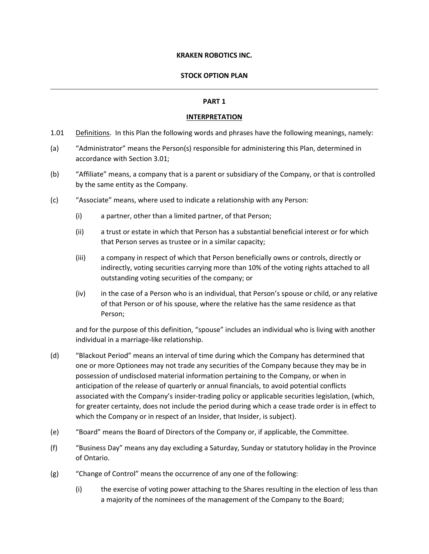### **KRAKEN ROBOTICS INC.**

#### **STOCK OPTION PLAN**

#### **PART 1**

#### **INTERPRETATION**

- 1.01 Definitions. In this Plan the following words and phrases have the following meanings, namely:
- (a) "Administrator" means the Person(s) responsible for administering this Plan, determined in accordance with Section 3.01;
- (b) "Affiliate" means, a company that is a parent or subsidiary of the Company, or that is controlled by the same entity as the Company.
- (c) "Associate" means, where used to indicate a relationship with any Person:
	- (i) a partner, other than a limited partner, of that Person;
	- (ii) a trust or estate in which that Person has a substantial beneficial interest or for which that Person serves as trustee or in a similar capacity;
	- (iii) a company in respect of which that Person beneficially owns or controls, directly or indirectly, voting securities carrying more than 10% of the voting rights attached to all outstanding voting securities of the company; or
	- (iv) in the case of a Person who is an individual, that Person's spouse or child, or any relative of that Person or of his spouse, where the relative has the same residence as that Person;

and for the purpose of this definition, "spouse" includes an individual who is living with another individual in a marriage-like relationship.

- (d) "Blackout Period" means an interval of time during which the Company has determined that one or more Optionees may not trade any securities of the Company because they may be in possession of undisclosed material information pertaining to the Company, or when in anticipation of the release of quarterly or annual financials, to avoid potential conflicts associated with the Company's insider-trading policy or applicable securities legislation, (which, for greater certainty, does not include the period during which a cease trade order is in effect to which the Company or in respect of an Insider, that Insider, is subject).
- (e) "Board" means the Board of Directors of the Company or, if applicable, the Committee.
- (f) "Business Day" means any day excluding a Saturday, Sunday or statutory holiday in the Province of Ontario.
- (g) "Change of Control" means the occurrence of any one of the following:
	- (i) the exercise of voting power attaching to the Shares resulting in the election of less than a majority of the nominees of the management of the Company to the Board;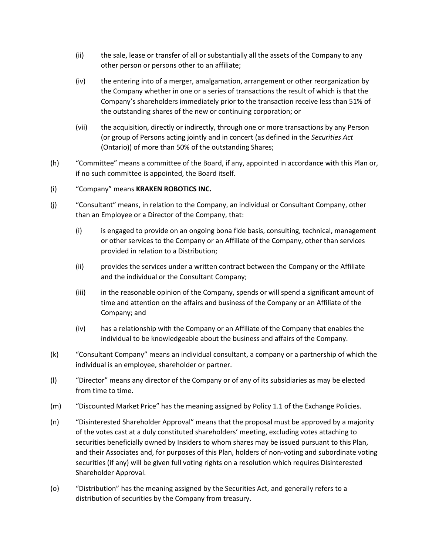- (ii) the sale, lease or transfer of all or substantially all the assets of the Company to any other person or persons other to an affiliate;
- (iv) the entering into of a merger, amalgamation, arrangement or other reorganization by the Company whether in one or a series of transactions the result of which is that the Company's shareholders immediately prior to the transaction receive less than 51% of the outstanding shares of the new or continuing corporation; or
- (vii) the acquisition, directly or indirectly, through one or more transactions by any Person (or group of Persons acting jointly and in concert (as defined in the *Securities Act* (Ontario)) of more than 50% of the outstanding Shares;
- (h) "Committee" means a committee of the Board, if any, appointed in accordance with this Plan or, if no such committee is appointed, the Board itself.
- (i) "Company" means **KRAKEN ROBOTICS INC.**
- (j) "Consultant" means, in relation to the Company, an individual or Consultant Company, other than an Employee or a Director of the Company, that:
	- (i) is engaged to provide on an ongoing bona fide basis, consulting, technical, management or other services to the Company or an Affiliate of the Company, other than services provided in relation to a Distribution;
	- (ii) provides the services under a written contract between the Company or the Affiliate and the individual or the Consultant Company;
	- (iii) in the reasonable opinion of the Company, spends or will spend a significant amount of time and attention on the affairs and business of the Company or an Affiliate of the Company; and
	- (iv) has a relationship with the Company or an Affiliate of the Company that enables the individual to be knowledgeable about the business and affairs of the Company.
- (k) "Consultant Company" means an individual consultant, a company or a partnership of which the individual is an employee, shareholder or partner.
- (l) "Director" means any director of the Company or of any of its subsidiaries as may be elected from time to time.
- (m) "Discounted Market Price" has the meaning assigned by Policy 1.1 of the Exchange Policies.
- (n) "Disinterested Shareholder Approval" means that the proposal must be approved by a majority of the votes cast at a duly constituted shareholders' meeting, excluding votes attaching to securities beneficially owned by Insiders to whom shares may be issued pursuant to this Plan, and their Associates and, for purposes of this Plan, holders of non-voting and subordinate voting securities (if any) will be given full voting rights on a resolution which requires Disinterested Shareholder Approval.
- (o) "Distribution" has the meaning assigned by the Securities Act, and generally refers to a distribution of securities by the Company from treasury.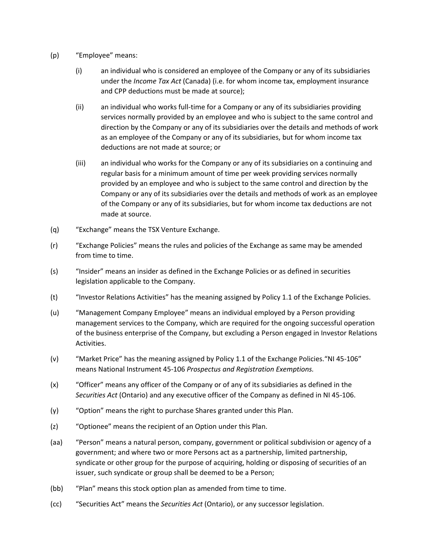- (p) "Employee" means:
	- (i) an individual who is considered an employee of the Company or any of its subsidiaries under the *Income Tax Act* (Canada) (i.e. for whom income tax, employment insurance and CPP deductions must be made at source);
	- (ii) an individual who works full-time for a Company or any of its subsidiaries providing services normally provided by an employee and who is subject to the same control and direction by the Company or any of its subsidiaries over the details and methods of work as an employee of the Company or any of its subsidiaries, but for whom income tax deductions are not made at source; or
	- (iii) an individual who works for the Company or any of its subsidiaries on a continuing and regular basis for a minimum amount of time per week providing services normally provided by an employee and who is subject to the same control and direction by the Company or any of its subsidiaries over the details and methods of work as an employee of the Company or any of its subsidiaries, but for whom income tax deductions are not made at source.
- (q) "Exchange" means the TSX Venture Exchange.
- (r) "Exchange Policies" means the rules and policies of the Exchange as same may be amended from time to time.
- (s) "Insider" means an insider as defined in the Exchange Policies or as defined in securities legislation applicable to the Company.
- (t) "Investor Relations Activities" has the meaning assigned by Policy 1.1 of the Exchange Policies.
- (u) "Management Company Employee" means an individual employed by a Person providing management services to the Company, which are required for the ongoing successful operation of the business enterprise of the Company, but excluding a Person engaged in Investor Relations Activities.
- (v) "Market Price" has the meaning assigned by Policy 1.1 of the Exchange Policies."NI 45-106" means National Instrument 45-106 *Prospectus and Registration Exemptions.*
- (x) "Officer" means any officer of the Company or of any of its subsidiaries as defined in the *Securities Act* (Ontario) and any executive officer of the Company as defined in NI 45-106.
- (y) "Option" means the right to purchase Shares granted under this Plan.
- (z) "Optionee" means the recipient of an Option under this Plan.
- (aa) "Person" means a natural person, company, government or political subdivision or agency of a government; and where two or more Persons act as a partnership, limited partnership, syndicate or other group for the purpose of acquiring, holding or disposing of securities of an issuer, such syndicate or group shall be deemed to be a Person;
- (bb) "Plan" means this stock option plan as amended from time to time.
- (cc) "Securities Act" means the *Securities Act* (Ontario), or any successor legislation.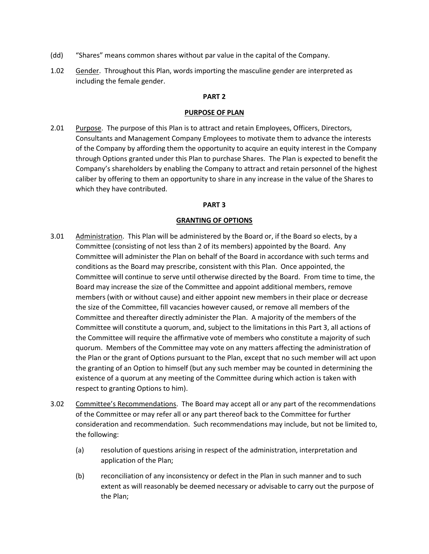- (dd) "Shares" means common shares without par value in the capital of the Company.
- 1.02 Gender. Throughout this Plan, words importing the masculine gender are interpreted as including the female gender.

#### **PART 2**

#### **PURPOSE OF PLAN**

2.01 Purpose. The purpose of this Plan is to attract and retain Employees, Officers, Directors, Consultants and Management Company Employees to motivate them to advance the interests of the Company by affording them the opportunity to acquire an equity interest in the Company through Options granted under this Plan to purchase Shares. The Plan is expected to benefit the Company's shareholders by enabling the Company to attract and retain personnel of the highest caliber by offering to them an opportunity to share in any increase in the value of the Shares to which they have contributed.

#### **PART 3**

### **GRANTING OF OPTIONS**

- 3.01 Administration. This Plan will be administered by the Board or, if the Board so elects, by a Committee (consisting of not less than 2 of its members) appointed by the Board. Any Committee will administer the Plan on behalf of the Board in accordance with such terms and conditions as the Board may prescribe, consistent with this Plan. Once appointed, the Committee will continue to serve until otherwise directed by the Board. From time to time, the Board may increase the size of the Committee and appoint additional members, remove members (with or without cause) and either appoint new members in their place or decrease the size of the Committee, fill vacancies however caused, or remove all members of the Committee and thereafter directly administer the Plan. A majority of the members of the Committee will constitute a quorum, and, subject to the limitations in this Part 3, all actions of the Committee will require the affirmative vote of members who constitute a majority of such quorum. Members of the Committee may vote on any matters affecting the administration of the Plan or the grant of Options pursuant to the Plan, except that no such member will act upon the granting of an Option to himself (but any such member may be counted in determining the existence of a quorum at any meeting of the Committee during which action is taken with respect to granting Options to him).
- 3.02 Committee's Recommendations. The Board may accept all or any part of the recommendations of the Committee or may refer all or any part thereof back to the Committee for further consideration and recommendation. Such recommendations may include, but not be limited to, the following:
	- (a) resolution of questions arising in respect of the administration, interpretation and application of the Plan;
	- (b) reconciliation of any inconsistency or defect in the Plan in such manner and to such extent as will reasonably be deemed necessary or advisable to carry out the purpose of the Plan;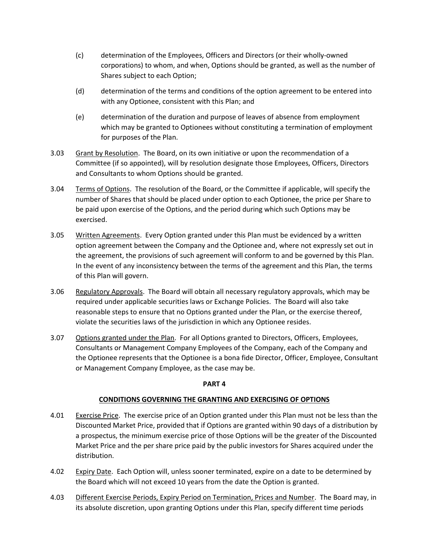- (c) determination of the Employees, Officers and Directors (or their wholly-owned corporations) to whom, and when, Options should be granted, as well as the number of Shares subject to each Option;
- (d) determination of the terms and conditions of the option agreement to be entered into with any Optionee, consistent with this Plan; and
- (e) determination of the duration and purpose of leaves of absence from employment which may be granted to Optionees without constituting a termination of employment for purposes of the Plan.
- 3.03 Grant by Resolution. The Board, on its own initiative or upon the recommendation of a Committee (if so appointed), will by resolution designate those Employees, Officers, Directors and Consultants to whom Options should be granted.
- 3.04 Terms of Options. The resolution of the Board, or the Committee if applicable, will specify the number of Shares that should be placed under option to each Optionee, the price per Share to be paid upon exercise of the Options, and the period during which such Options may be exercised.
- 3.05 Written Agreements. Every Option granted under this Plan must be evidenced by a written option agreement between the Company and the Optionee and, where not expressly set out in the agreement, the provisions of such agreement will conform to and be governed by this Plan. In the event of any inconsistency between the terms of the agreement and this Plan, the terms of this Plan will govern.
- 3.06 Regulatory Approvals. The Board will obtain all necessary regulatory approvals, which may be required under applicable securities laws or Exchange Policies. The Board will also take reasonable steps to ensure that no Options granted under the Plan, or the exercise thereof, violate the securities laws of the jurisdiction in which any Optionee resides.
- 3.07 Options granted under the Plan. For all Options granted to Directors, Officers, Employees, Consultants or Management Company Employees of the Company, each of the Company and the Optionee represents that the Optionee is a bona fide Director, Officer, Employee, Consultant or Management Company Employee, as the case may be.

### **PART 4**

### **CONDITIONS GOVERNING THE GRANTING AND EXERCISING OF OPTIONS**

- 4.01 Exercise Price. The exercise price of an Option granted under this Plan must not be less than the Discounted Market Price, provided that if Options are granted within 90 days of a distribution by a prospectus, the minimum exercise price of those Options will be the greater of the Discounted Market Price and the per share price paid by the public investors for Shares acquired under the distribution.
- 4.02 Expiry Date. Each Option will, unless sooner terminated, expire on a date to be determined by the Board which will not exceed 10 years from the date the Option is granted.
- 4.03 Different Exercise Periods, Expiry Period on Termination, Prices and Number. The Board may, in its absolute discretion, upon granting Options under this Plan, specify different time periods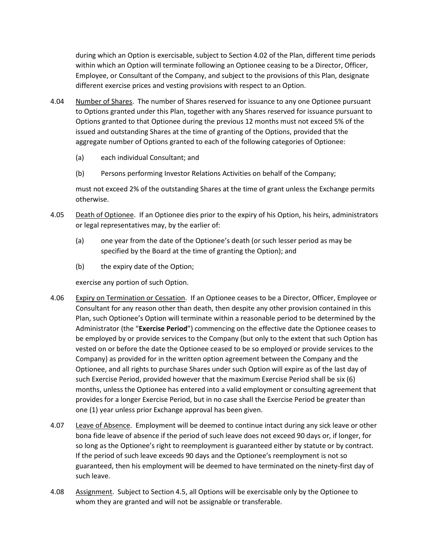during which an Option is exercisable, subject to Section 4.02 of the Plan, different time periods within which an Option will terminate following an Optionee ceasing to be a Director, Officer, Employee, or Consultant of the Company, and subject to the provisions of this Plan, designate different exercise prices and vesting provisions with respect to an Option.

- 4.04 Number of Shares. The number of Shares reserved for issuance to any one Optionee pursuant to Options granted under this Plan, together with any Shares reserved for issuance pursuant to Options granted to that Optionee during the previous 12 months must not exceed 5% of the issued and outstanding Shares at the time of granting of the Options, provided that the aggregate number of Options granted to each of the following categories of Optionee:
	- (a) each individual Consultant; and
	- (b) Persons performing Investor Relations Activities on behalf of the Company;

must not exceed 2% of the outstanding Shares at the time of grant unless the Exchange permits otherwise.

- 4.05 Death of Optionee. If an Optionee dies prior to the expiry of his Option, his heirs, administrators or legal representatives may, by the earlier of:
	- (a) one year from the date of the Optionee's death (or such lesser period as may be specified by the Board at the time of granting the Option); and
	- (b) the expiry date of the Option;

exercise any portion of such Option.

- 4.06 Expiry on Termination or Cessation. If an Optionee ceases to be a Director, Officer, Employee or Consultant for any reason other than death, then despite any other provision contained in this Plan, such Optionee's Option will terminate within a reasonable period to be determined by the Administrator (the "**Exercise Period**") commencing on the effective date the Optionee ceases to be employed by or provide services to the Company (but only to the extent that such Option has vested on or before the date the Optionee ceased to be so employed or provide services to the Company) as provided for in the written option agreement between the Company and the Optionee, and all rights to purchase Shares under such Option will expire as of the last day of such Exercise Period, provided however that the maximum Exercise Period shall be six (6) months, unless the Optionee has entered into a valid employment or consulting agreement that provides for a longer Exercise Period, but in no case shall the Exercise Period be greater than one (1) year unless prior Exchange approval has been given.
- 4.07 Leave of Absence. Employment will be deemed to continue intact during any sick leave or other bona fide leave of absence if the period of such leave does not exceed 90 days or, if longer, for so long as the Optionee's right to reemployment is guaranteed either by statute or by contract. If the period of such leave exceeds 90 days and the Optionee's reemployment is not so guaranteed, then his employment will be deemed to have terminated on the ninety-first day of such leave.
- 4.08 Assignment. Subject to Section 4.5, all Options will be exercisable only by the Optionee to whom they are granted and will not be assignable or transferable.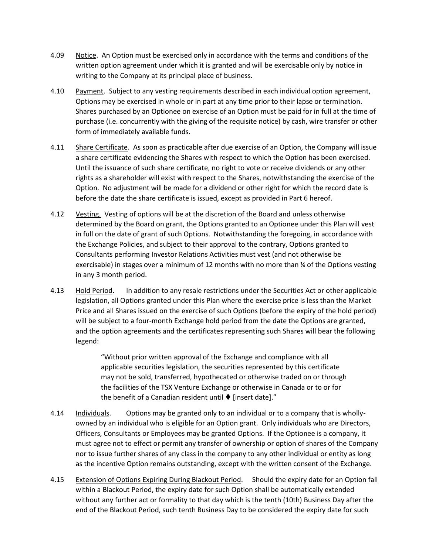- 4.09 Notice. An Option must be exercised only in accordance with the terms and conditions of the written option agreement under which it is granted and will be exercisable only by notice in writing to the Company at its principal place of business.
- 4.10 Payment. Subject to any vesting requirements described in each individual option agreement, Options may be exercised in whole or in part at any time prior to their lapse or termination. Shares purchased by an Optionee on exercise of an Option must be paid for in full at the time of purchase (i.e. concurrently with the giving of the requisite notice) by cash, wire transfer or other form of immediately available funds.
- 4.11 Share Certificate. As soon as practicable after due exercise of an Option, the Company will issue a share certificate evidencing the Shares with respect to which the Option has been exercised. Until the issuance of such share certificate, no right to vote or receive dividends or any other rights as a shareholder will exist with respect to the Shares, notwithstanding the exercise of the Option. No adjustment will be made for a dividend or other right for which the record date is before the date the share certificate is issued, except as provided in Part 6 hereof.
- 4.12 Vesting. Vesting of options will be at the discretion of the Board and unless otherwise determined by the Board on grant, the Options granted to an Optionee under this Plan will vest in full on the date of grant of such Options. Notwithstanding the foregoing, in accordance with the Exchange Policies, and subject to their approval to the contrary, Options granted to Consultants performing Investor Relations Activities must vest (and not otherwise be exercisable) in stages over a minimum of 12 months with no more than ¼ of the Options vesting in any 3 month period.
- 4.13 Hold Period. In addition to any resale restrictions under the Securities Act or other applicable legislation, all Options granted under this Plan where the exercise price is less than the Market Price and all Shares issued on the exercise of such Options (before the expiry of the hold period) will be subject to a four-month Exchange hold period from the date the Options are granted, and the option agreements and the certificates representing such Shares will bear the following legend:

"Without prior written approval of the Exchange and compliance with all applicable securities legislation, the securities represented by this certificate may not be sold, transferred, hypothecated or otherwise traded on or through the facilities of the TSX Venture Exchange or otherwise in Canada or to or for the benefit of a Canadian resident until  $\blacklozenge$  [insert date]."

- 4.14 Individuals. Options may be granted only to an individual or to a company that is whollyowned by an individual who is eligible for an Option grant. Only individuals who are Directors, Officers, Consultants or Employees may be granted Options. If the Optionee is a company, it must agree not to effect or permit any transfer of ownership or option of shares of the Company nor to issue further shares of any class in the company to any other individual or entity as long as the incentive Option remains outstanding, except with the written consent of the Exchange.
- 4.15 Extension of Options Expiring During Blackout Period. Should the expiry date for an Option fall within a Blackout Period, the expiry date for such Option shall be automatically extended without any further act or formality to that day which is the tenth (10th) Business Day after the end of the Blackout Period, such tenth Business Day to be considered the expiry date for such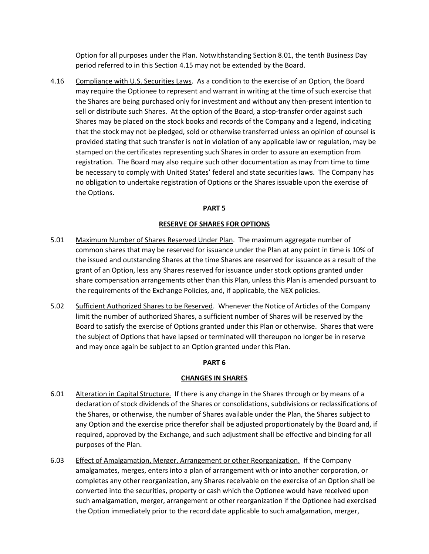Option for all purposes under the Plan. Notwithstanding Section 8.01, the tenth Business Day period referred to in this Section 4.15 may not be extended by the Board.

4.16 Compliance with U.S. Securities Laws. As a condition to the exercise of an Option, the Board may require the Optionee to represent and warrant in writing at the time of such exercise that the Shares are being purchased only for investment and without any then-present intention to sell or distribute such Shares. At the option of the Board, a stop-transfer order against such Shares may be placed on the stock books and records of the Company and a legend, indicating that the stock may not be pledged, sold or otherwise transferred unless an opinion of counsel is provided stating that such transfer is not in violation of any applicable law or regulation, may be stamped on the certificates representing such Shares in order to assure an exemption from registration. The Board may also require such other documentation as may from time to time be necessary to comply with United States' federal and state securities laws. The Company has no obligation to undertake registration of Options or the Shares issuable upon the exercise of the Options.

### **PART 5**

### **RESERVE OF SHARES FOR OPTIONS**

- 5.01 Maximum Number of Shares Reserved Under Plan. The maximum aggregate number of common shares that may be reserved for issuance under the Plan at any point in time is 10% of the issued and outstanding Shares at the time Shares are reserved for issuance as a result of the grant of an Option, less any Shares reserved for issuance under stock options granted under share compensation arrangements other than this Plan, unless this Plan is amended pursuant to the requirements of the Exchange Policies, and, if applicable, the NEX policies.
- 5.02 Sufficient Authorized Shares to be Reserved. Whenever the Notice of Articles of the Company limit the number of authorized Shares, a sufficient number of Shares will be reserved by the Board to satisfy the exercise of Options granted under this Plan or otherwise. Shares that were the subject of Options that have lapsed or terminated will thereupon no longer be in reserve and may once again be subject to an Option granted under this Plan.

# **PART 6**

# **CHANGES IN SHARES**

- 6.01 Alteration in Capital Structure. If there is any change in the Shares through or by means of a declaration of stock dividends of the Shares or consolidations, subdivisions or reclassifications of the Shares, or otherwise, the number of Shares available under the Plan, the Shares subject to any Option and the exercise price therefor shall be adjusted proportionately by the Board and, if required, approved by the Exchange, and such adjustment shall be effective and binding for all purposes of the Plan.
- 6.03 Effect of Amalgamation, Merger, Arrangement or other Reorganization. If the Company amalgamates, merges, enters into a plan of arrangement with or into another corporation, or completes any other reorganization, any Shares receivable on the exercise of an Option shall be converted into the securities, property or cash which the Optionee would have received upon such amalgamation, merger, arrangement or other reorganization if the Optionee had exercised the Option immediately prior to the record date applicable to such amalgamation, merger,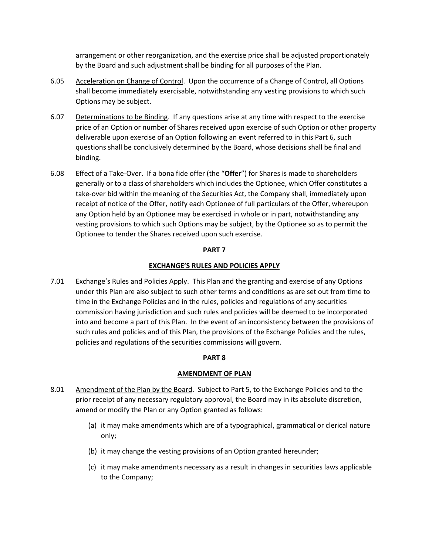arrangement or other reorganization, and the exercise price shall be adjusted proportionately by the Board and such adjustment shall be binding for all purposes of the Plan.

- 6.05 Acceleration on Change of Control. Upon the occurrence of a Change of Control, all Options shall become immediately exercisable, notwithstanding any vesting provisions to which such Options may be subject.
- 6.07 Determinations to be Binding. If any questions arise at any time with respect to the exercise price of an Option or number of Shares received upon exercise of such Option or other property deliverable upon exercise of an Option following an event referred to in this Part 6, such questions shall be conclusively determined by the Board, whose decisions shall be final and binding.
- 6.08 Effect of a Take-Over. If a bona fide offer (the "**Offer**") for Shares is made to shareholders generally or to a class of shareholders which includes the Optionee, which Offer constitutes a take-over bid within the meaning of the Securities Act, the Company shall, immediately upon receipt of notice of the Offer, notify each Optionee of full particulars of the Offer, whereupon any Option held by an Optionee may be exercised in whole or in part, notwithstanding any vesting provisions to which such Options may be subject, by the Optionee so as to permit the Optionee to tender the Shares received upon such exercise.

### **PART 7**

### **EXCHANGE'S RULES AND POLICIES APPLY**

7.01 Exchange's Rules and Policies Apply. This Plan and the granting and exercise of any Options under this Plan are also subject to such other terms and conditions as are set out from time to time in the Exchange Policies and in the rules, policies and regulations of any securities commission having jurisdiction and such rules and policies will be deemed to be incorporated into and become a part of this Plan. In the event of an inconsistency between the provisions of such rules and policies and of this Plan, the provisions of the Exchange Policies and the rules, policies and regulations of the securities commissions will govern.

### **PART 8**

### **AMENDMENT OF PLAN**

- 8.01 Amendment of the Plan by the Board. Subject to Part 5, to the Exchange Policies and to the prior receipt of any necessary regulatory approval, the Board may in its absolute discretion, amend or modify the Plan or any Option granted as follows:
	- (a) it may make amendments which are of a typographical, grammatical or clerical nature only;
	- (b) it may change the vesting provisions of an Option granted hereunder;
	- (c) it may make amendments necessary as a result in changes in securities laws applicable to the Company;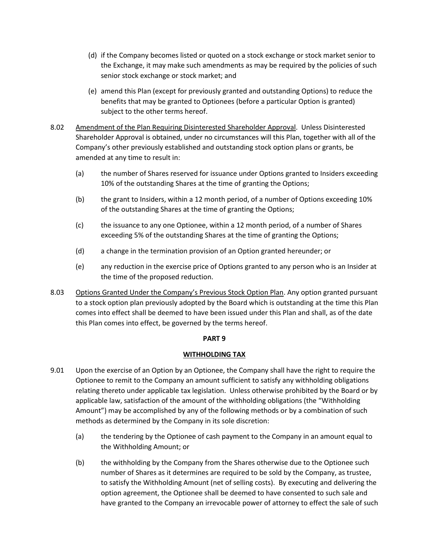- (d) if the Company becomes listed or quoted on a stock exchange or stock market senior to the Exchange, it may make such amendments as may be required by the policies of such senior stock exchange or stock market; and
- (e) amend this Plan (except for previously granted and outstanding Options) to reduce the benefits that may be granted to Optionees (before a particular Option is granted) subject to the other terms hereof.
- 8.02 Amendment of the Plan Requiring Disinterested Shareholder Approval. Unless Disinterested Shareholder Approval is obtained, under no circumstances will this Plan, together with all of the Company's other previously established and outstanding stock option plans or grants, be amended at any time to result in:
	- (a) the number of Shares reserved for issuance under Options granted to Insiders exceeding 10% of the outstanding Shares at the time of granting the Options;
	- (b) the grant to Insiders, within a 12 month period, of a number of Options exceeding 10% of the outstanding Shares at the time of granting the Options;
	- (c) the issuance to any one Optionee, within a 12 month period, of a number of Shares exceeding 5% of the outstanding Shares at the time of granting the Options;
	- (d) a change in the termination provision of an Option granted hereunder; or
	- (e) any reduction in the exercise price of Options granted to any person who is an Insider at the time of the proposed reduction.
- 8.03 Options Granted Under the Company's Previous Stock Option Plan. Any option granted pursuant to a stock option plan previously adopted by the Board which is outstanding at the time this Plan comes into effect shall be deemed to have been issued under this Plan and shall, as of the date this Plan comes into effect, be governed by the terms hereof.

# **PART 9**

# **WITHHOLDING TAX**

- 9.01 Upon the exercise of an Option by an Optionee, the Company shall have the right to require the Optionee to remit to the Company an amount sufficient to satisfy any withholding obligations relating thereto under applicable tax legislation. Unless otherwise prohibited by the Board or by applicable law, satisfaction of the amount of the withholding obligations (the "Withholding Amount") may be accomplished by any of the following methods or by a combination of such methods as determined by the Company in its sole discretion:
	- (a) the tendering by the Optionee of cash payment to the Company in an amount equal to the Withholding Amount; or
	- (b) the withholding by the Company from the Shares otherwise due to the Optionee such number of Shares as it determines are required to be sold by the Company, as trustee, to satisfy the Withholding Amount (net of selling costs). By executing and delivering the option agreement, the Optionee shall be deemed to have consented to such sale and have granted to the Company an irrevocable power of attorney to effect the sale of such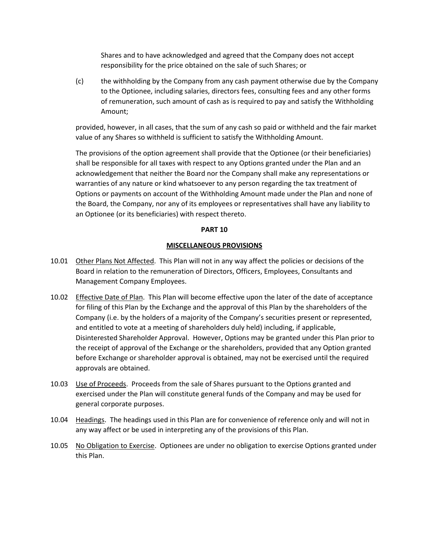Shares and to have acknowledged and agreed that the Company does not accept responsibility for the price obtained on the sale of such Shares; or

(c) the withholding by the Company from any cash payment otherwise due by the Company to the Optionee, including salaries, directors fees, consulting fees and any other forms of remuneration, such amount of cash as is required to pay and satisfy the Withholding Amount;

provided, however, in all cases, that the sum of any cash so paid or withheld and the fair market value of any Shares so withheld is sufficient to satisfy the Withholding Amount.

The provisions of the option agreement shall provide that the Optionee (or their beneficiaries) shall be responsible for all taxes with respect to any Options granted under the Plan and an acknowledgement that neither the Board nor the Company shall make any representations or warranties of any nature or kind whatsoever to any person regarding the tax treatment of Options or payments on account of the Withholding Amount made under the Plan and none of the Board, the Company, nor any of its employees or representatives shall have any liability to an Optionee (or its beneficiaries) with respect thereto.

### **PART 10**

### **MISCELLANEOUS PROVISIONS**

- 10.01 Other Plans Not Affected. This Plan will not in any way affect the policies or decisions of the Board in relation to the remuneration of Directors, Officers, Employees, Consultants and Management Company Employees.
- 10.02 Effective Date of Plan. This Plan will become effective upon the later of the date of acceptance for filing of this Plan by the Exchange and the approval of this Plan by the shareholders of the Company (i.e. by the holders of a majority of the Company's securities present or represented, and entitled to vote at a meeting of shareholders duly held) including, if applicable, Disinterested Shareholder Approval. However, Options may be granted under this Plan prior to the receipt of approval of the Exchange or the shareholders, provided that any Option granted before Exchange or shareholder approval is obtained, may not be exercised until the required approvals are obtained.
- 10.03 Use of Proceeds. Proceeds from the sale of Shares pursuant to the Options granted and exercised under the Plan will constitute general funds of the Company and may be used for general corporate purposes.
- 10.04 Headings. The headings used in this Plan are for convenience of reference only and will not in any way affect or be used in interpreting any of the provisions of this Plan.
- 10.05 No Obligation to Exercise. Optionees are under no obligation to exercise Options granted under this Plan.